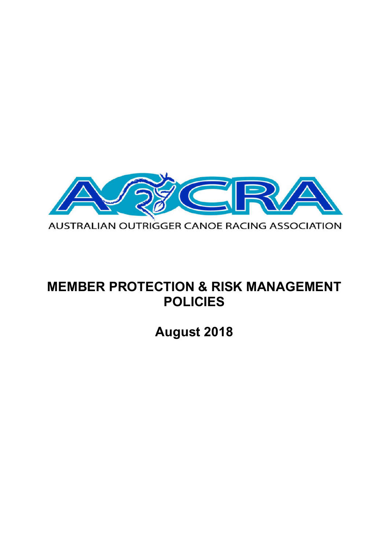

# **MEMBER PROTECTION & RISK MANAGEMENT POLICIES**

**August 2018**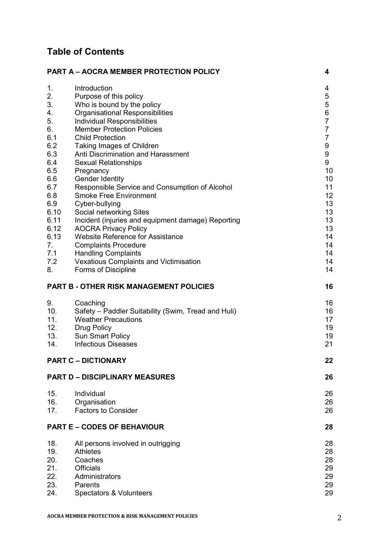## **Table of Contents**

| <b>PART A - AOCRA MEMBER PROTECTION POLICY</b> |                                                     | 4              |
|------------------------------------------------|-----------------------------------------------------|----------------|
| 1.                                             | Introduction                                        | 4              |
| 2.                                             | Purpose of this policy                              | 5              |
| 3.                                             | Who is bound by the policy                          | 5              |
| 4.                                             | <b>Organisational Responsibilities</b>              | 6              |
| 5.                                             | Individual Responsibilities                         | $\overline{7}$ |
| 6.                                             | <b>Member Protection Policies</b>                   | $\overline{7}$ |
| 6.1                                            | <b>Child Protection</b>                             | $\overline{7}$ |
| 6.2                                            | Taking Images of Children                           | 9              |
| 6.3                                            | Anti Discrimination and Harassment                  | 9              |
| 6.4                                            | <b>Sexual Relationships</b>                         | 9              |
| 6.5                                            | Pregnancy                                           | 10             |
| 6.6                                            | <b>Gender Identity</b>                              | 10             |
| 6.7                                            | Responsible Service and Consumption of Alcohol      | 11             |
| 6.8                                            | <b>Smoke Free Environment</b>                       | 12             |
| 6.9                                            | Cyber-bullying                                      | 13             |
| 6.10                                           | Social networking Sites                             | 13             |
| 6.11                                           | Incident (injuries and equipment damage) Reporting  | 13             |
| 6.12                                           | <b>AOCRA Privacy Policy</b>                         | 13             |
| 6.13                                           | <b>Website Reference for Assistance</b>             | 14             |
| 7.                                             | <b>Complaints Procedure</b>                         | 14             |
| 7.1                                            | <b>Handling Complaints</b>                          | 14             |
| 7.2                                            | <b>Vexatious Complaints and Victimisation</b>       | 14             |
| 8.                                             | Forms of Discipline                                 | 14             |
|                                                | <b>PART B - OTHER RISK MANAGEMENT POLICIES</b>      | 16             |
| 9.                                             | Coaching                                            | 16             |
| 10.                                            | Safety - Paddler Suitability (Swim, Tread and Huli) | 16             |
| 11.                                            | <b>Weather Precautions</b>                          | 17             |
| 12.                                            | <b>Drug Policy</b>                                  | 19             |
| 13.                                            | <b>Sun Smart Policy</b>                             | 19             |
| 14.                                            | <b>Infectious Diseases</b>                          | 21             |
|                                                | <b>PART C - DICTIONARY</b>                          | 22             |
|                                                | <b>PART D - DISCIPLINARY MEASURES</b>               | 26             |
| 15.                                            | Individual                                          | 26             |
| 16.                                            | Organisation                                        | 26             |
| 17.                                            | <b>Factors to Consider</b>                          | 26             |
|                                                |                                                     |                |
|                                                | <b>PART E - CODES OF BEHAVIOUR</b>                  | 28             |
| 18.                                            | All persons involved in outrigging                  | 28             |
| 19.                                            | Athletes                                            | 28             |
| 20.                                            | Coaches                                             | 28             |
| 21.                                            | <b>Officials</b>                                    | 29             |
| 22.                                            | Administrators                                      | 29             |
| 23.                                            | Parents                                             | 29             |
| 24.                                            | Spectators & Volunteers                             | 29             |
|                                                |                                                     |                |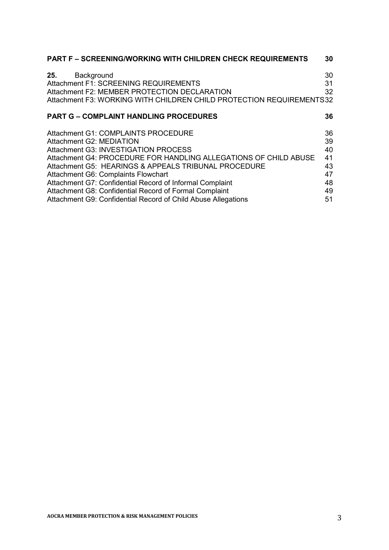| <b>PART F - SCREENING/WORKING WITH CHILDREN CHECK REQUIREMENTS</b>   | 30 |
|----------------------------------------------------------------------|----|
| Background<br>25.                                                    | 30 |
| Attachment F1: SCREENING REQUIREMENTS                                | 31 |
| Attachment F2: MEMBER PROTECTION DECLARATION                         | 32 |
| Attachment F3: WORKING WITH CHILDREN CHILD PROTECTION REQUIREMENTS32 |    |
| <b>PART G - COMPLAINT HANDLING PROCEDURES</b>                        | 36 |
| Attachment G1: COMPLAINTS PROCEDURE                                  | 36 |
| Attachment G2: MEDIATION                                             | 39 |
| Attachment G3: INVESTIGATION PROCESS                                 | 40 |
| Attachment G4: PROCEDURE FOR HANDLING ALLEGATIONS OF CHILD ABUSE     | 41 |
| Attachment G5: HEARINGS & APPEALS TRIBUNAL PROCEDURE                 | 43 |
| Attachment G6: Complaints Flowchart                                  | 47 |
| Attachment G7: Confidential Record of Informal Complaint             | 48 |
| Attachment G8: Confidential Record of Formal Complaint               | 49 |
| Attachment G9: Confidential Record of Child Abuse Allegations        | 51 |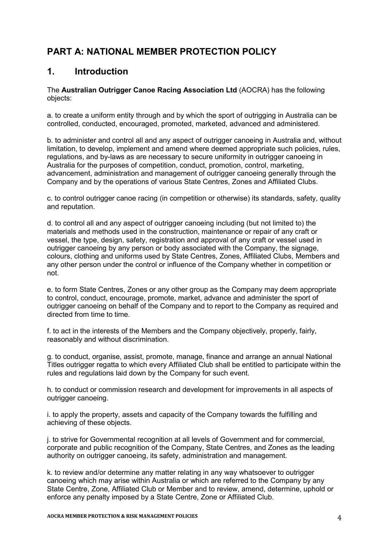## **PART A: NATIONAL MEMBER PROTECTION POLICY**

## **1. Introduction**

The **Australian Outrigger Canoe Racing Association Ltd** (AOCRA) has the following objects:

a. to create a uniform entity through and by which the sport of outrigging in Australia can be controlled, conducted, encouraged, promoted, marketed, advanced and administered.

b. to administer and control all and any aspect of outrigger canoeing in Australia and, without limitation, to develop, implement and amend where deemed appropriate such policies, rules, regulations, and by-laws as are necessary to secure uniformity in outrigger canoeing in Australia for the purposes of competition, conduct, promotion, control, marketing, advancement, administration and management of outrigger canoeing generally through the Company and by the operations of various State Centres, Zones and Affiliated Clubs.

c. to control outrigger canoe racing (in competition or otherwise) its standards, safety, quality and reputation.

d. to control all and any aspect of outrigger canoeing including (but not limited to) the materials and methods used in the construction, maintenance or repair of any craft or vessel, the type, design, safety, registration and approval of any craft or vessel used in outrigger canoeing by any person or body associated with the Company, the signage, colours, clothing and uniforms used by State Centres, Zones, Affiliated Clubs, Members and any other person under the control or influence of the Company whether in competition or not.

e. to form State Centres, Zones or any other group as the Company may deem appropriate to control, conduct, encourage, promote, market, advance and administer the sport of outrigger canoeing on behalf of the Company and to report to the Company as required and directed from time to time.

f. to act in the interests of the Members and the Company objectively, properly, fairly, reasonably and without discrimination.

g. to conduct, organise, assist, promote, manage, finance and arrange an annual National Titles outrigger regatta to which every Affiliated Club shall be entitled to participate within the rules and regulations laid down by the Company for such event.

h. to conduct or commission research and development for improvements in all aspects of outrigger canoeing.

i. to apply the property, assets and capacity of the Company towards the fulfilling and achieving of these objects.

j. to strive for Governmental recognition at all levels of Government and for commercial, corporate and public recognition of the Company, State Centres, and Zones as the leading authority on outrigger canoeing, its safety, administration and management.

k. to review and/or determine any matter relating in any way whatsoever to outrigger canoeing which may arise within Australia or which are referred to the Company by any State Centre, Zone, Affiliated Club or Member and to review, amend, determine, uphold or enforce any penalty imposed by a State Centre, Zone or Affiliated Club.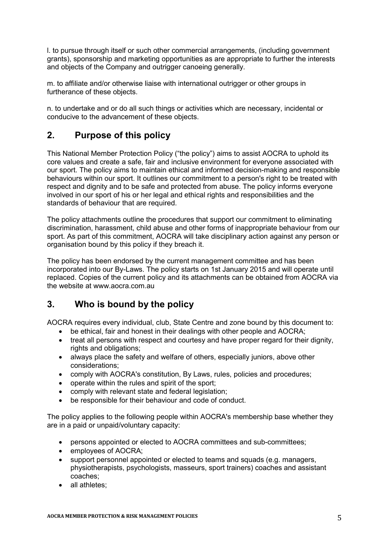l. to pursue through itself or such other commercial arrangements, (including government grants), sponsorship and marketing opportunities as are appropriate to further the interests and objects of the Company and outrigger canoeing generally.

m. to affiliate and/or otherwise liaise with international outrigger or other groups in furtherance of these objects.

n. to undertake and or do all such things or activities which are necessary, incidental or conducive to the advancement of these objects.

## **2. Purpose of this policy**

This National Member Protection Policy ("the policy") aims to assist AOCRA to uphold its core values and create a safe, fair and inclusive environment for everyone associated with our sport. The policy aims to maintain ethical and informed decision-making and responsible behaviours within our sport. It outlines our commitment to a person's right to be treated with respect and dignity and to be safe and protected from abuse. The policy informs everyone involved in our sport of his or her legal and ethical rights and responsibilities and the standards of behaviour that are required.

The policy attachments outline the procedures that support our commitment to eliminating discrimination, harassment, child abuse and other forms of inappropriate behaviour from our sport. As part of this commitment, AOCRA will take disciplinary action against any person or organisation bound by this policy if they breach it.

The policy has been endorsed by the current management committee and has been incorporated into our By-Laws. The policy starts on 1st January 2015 and will operate until replaced. Copies of the current policy and its attachments can be obtained from AOCRA via the website at www.aocra.com.au

## **3. Who is bound by the policy**

AOCRA requires every individual, club, State Centre and zone bound by this document to:

- be ethical, fair and honest in their dealings with other people and AOCRA;
- treat all persons with respect and courtesy and have proper regard for their dignity, rights and obligations;
- always place the safety and welfare of others, especially juniors, above other considerations;
- comply with AOCRA's constitution, By Laws, rules, policies and procedures;
- operate within the rules and spirit of the sport;
- comply with relevant state and federal legislation;
- be responsible for their behaviour and code of conduct.

The policy applies to the following people within AOCRA's membership base whether they are in a paid or unpaid/voluntary capacity:

- persons appointed or elected to AOCRA committees and sub-committees;
- employees of AOCRA;
- support personnel appointed or elected to teams and squads (e.g. managers, physiotherapists, psychologists, masseurs, sport trainers) coaches and assistant coaches;
- all athletes;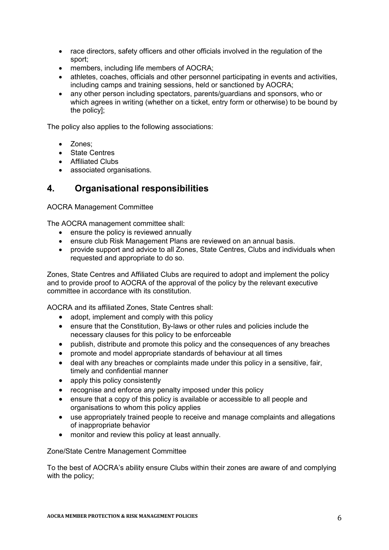- race directors, safety officers and other officials involved in the regulation of the sport;
- members, including life members of AOCRA;
- athletes, coaches, officials and other personnel participating in events and activities, including camps and training sessions, held or sanctioned by AOCRA;
- any other person including spectators, parents/guardians and sponsors, who or which agrees in writing (whether on a ticket, entry form or otherwise) to be bound by the policy];

The policy also applies to the following associations:

- Zones:
- State Centres
- Affiliated Clubs
- associated organisations.

## **4. Organisational responsibilities**

AOCRA Management Committee

The AOCRA management committee shall:

- ensure the policy is reviewed annually
- ensure club Risk Management Plans are reviewed on an annual basis.
- provide support and advice to all Zones, State Centres, Clubs and individuals when requested and appropriate to do so.

Zones, State Centres and Affiliated Clubs are required to adopt and implement the policy and to provide proof to AOCRA of the approval of the policy by the relevant executive committee in accordance with its constitution.

AOCRA and its affiliated Zones, State Centres shall:

- adopt, implement and comply with this policy
- ensure that the Constitution, By-laws or other rules and policies include the necessary clauses for this policy to be enforceable
- publish, distribute and promote this policy and the consequences of any breaches
- promote and model appropriate standards of behaviour at all times
- deal with any breaches or complaints made under this policy in a sensitive, fair, timely and confidential manner
- apply this policy consistently
- recognise and enforce any penalty imposed under this policy
- ensure that a copy of this policy is available or accessible to all people and organisations to whom this policy applies
- use appropriately trained people to receive and manage complaints and allegations of inappropriate behavior
- monitor and review this policy at least annually.

Zone/State Centre Management Committee

To the best of AOCRA's ability ensure Clubs within their zones are aware of and complying with the policy;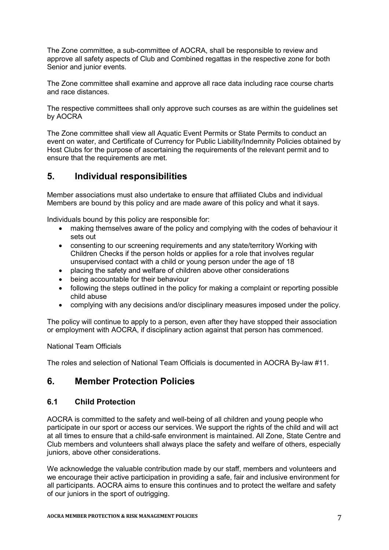The Zone committee, a sub-committee of AOCRA, shall be responsible to review and approve all safety aspects of Club and Combined regattas in the respective zone for both Senior and junior events.

The Zone committee shall examine and approve all race data including race course charts and race distances.

The respective committees shall only approve such courses as are within the guidelines set by AOCRA

The Zone committee shall view all Aquatic Event Permits or State Permits to conduct an event on water, and Certificate of Currency for Public Liability/Indemnity Policies obtained by Host Clubs for the purpose of ascertaining the requirements of the relevant permit and to ensure that the requirements are met.

## **5. Individual responsibilities**

Member associations must also undertake to ensure that affiliated Clubs and individual Members are bound by this policy and are made aware of this policy and what it says.

Individuals bound by this policy are responsible for:

- making themselves aware of the policy and complying with the codes of behaviour it sets out
- consenting to our screening requirements and any state/territory Working with Children Checks if the person holds or applies for a role that involves regular unsupervised contact with a child or young person under the age of 18
- placing the safety and welfare of children above other considerations
- being accountable for their behaviour
- following the steps outlined in the policy for making a complaint or reporting possible child abuse
- complying with any decisions and/or disciplinary measures imposed under the policy.

The policy will continue to apply to a person, even after they have stopped their association or employment with AOCRA, if disciplinary action against that person has commenced.

#### National Team Officials

The roles and selection of National Team Officials is documented in AOCRA By-law #11.

## **6. Member Protection Policies**

#### **6.1 Child Protection**

AOCRA is committed to the safety and well-being of all children and young people who participate in our sport or access our services. We support the rights of the child and will act at all times to ensure that a child-safe environment is maintained. All Zone, State Centre and Club members and volunteers shall always place the safety and welfare of others, especially juniors, above other considerations.

We acknowledge the valuable contribution made by our staff, members and volunteers and we encourage their active participation in providing a safe, fair and inclusive environment for all participants. AOCRA aims to ensure this continues and to protect the welfare and safety of our juniors in the sport of outrigging.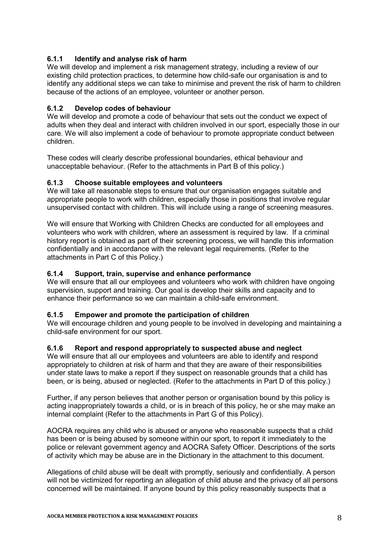### **6.1.1 Identify and analyse risk of harm**

We will develop and implement a risk management strategy, including a review of our existing child protection practices, to determine how child-safe our organisation is and to identify any additional steps we can take to minimise and prevent the risk of harm to children because of the actions of an employee, volunteer or another person.

#### **6.1.2 Develop codes of behaviour**

We will develop and promote a code of behaviour that sets out the conduct we expect of adults when they deal and interact with children involved in our sport, especially those in our care. We will also implement a code of behaviour to promote appropriate conduct between children.

These codes will clearly describe professional boundaries, ethical behaviour and unacceptable behaviour. (Refer to the attachments in Part B of this policy.)

#### **6.1.3 Choose suitable employees and volunteers**

We will take all reasonable steps to ensure that our organisation engages suitable and appropriate people to work with children, especially those in positions that involve regular unsupervised contact with children. This will include using a range of screening measures.

We will ensure that Working with Children Checks are conducted for all employees and volunteers who work with children, where an assessment is required by law. If a criminal history report is obtained as part of their screening process, we will handle this information confidentially and in accordance with the relevant legal requirements. (Refer to the attachments in Part C of this Policy.)

#### **6.1.4 Support, train, supervise and enhance performance**

We will ensure that all our employees and volunteers who work with children have ongoing supervision, support and training. Our goal is develop their skills and capacity and to enhance their performance so we can maintain a child-safe environment.

#### **6.1.5 Empower and promote the participation of children**

We will encourage children and young people to be involved in developing and maintaining a child-safe environment for our sport.

#### **6.1.6 Report and respond appropriately to suspected abuse and neglect**

We will ensure that all our employees and volunteers are able to identify and respond appropriately to children at risk of harm and that they are aware of their responsibilities under state laws to make a report if they suspect on reasonable grounds that a child has been, or is being, abused or neglected. (Refer to the attachments in Part D of this policy.)

Further, if any person believes that another person or organisation bound by this policy is acting inappropriately towards a child, or is in breach of this policy, he or she may make an internal complaint (Refer to the attachments in Part G of this Policy).

AOCRA requires any child who is abused or anyone who reasonable suspects that a child has been or is being abused by someone within our sport, to report it immediately to the police or relevant government agency and AOCRA Safety Officer. Descriptions of the sorts of activity which may be abuse are in the Dictionary in the attachment to this document.

Allegations of child abuse will be dealt with promptly, seriously and confidentially. A person will not be victimized for reporting an allegation of child abuse and the privacy of all persons concerned will be maintained. If anyone bound by this policy reasonably suspects that a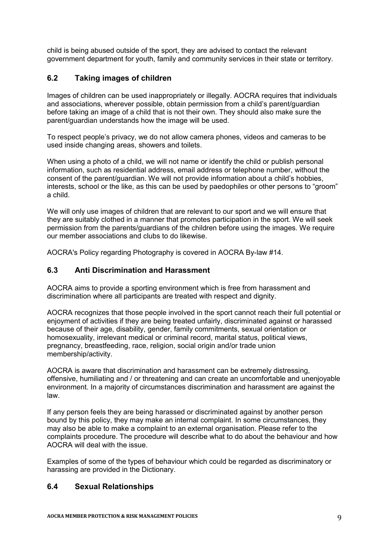child is being abused outside of the sport, they are advised to contact the relevant government department for youth, family and community services in their state or territory.

### **6.2 Taking images of children**

Images of children can be used inappropriately or illegally. AOCRA requires that individuals and associations, wherever possible, obtain permission from a child's parent/guardian before taking an image of a child that is not their own. They should also make sure the parent/guardian understands how the image will be used.

To respect people's privacy, we do not allow camera phones, videos and cameras to be used inside changing areas, showers and toilets.

When using a photo of a child, we will not name or identify the child or publish personal information, such as residential address, email address or telephone number, without the consent of the parent/guardian. We will not provide information about a child's hobbies, interests, school or the like, as this can be used by paedophiles or other persons to "groom" a child.

We will only use images of children that are relevant to our sport and we will ensure that they are suitably clothed in a manner that promotes participation in the sport. We will seek permission from the parents/guardians of the children before using the images. We require our member associations and clubs to do likewise.

AOCRA's Policy regarding Photography is covered in AOCRA By-law #14.

### **6.3 Anti Discrimination and Harassment**

AOCRA aims to provide a sporting environment which is free from harassment and discrimination where all participants are treated with respect and dignity.

AOCRA recognizes that those people involved in the sport cannot reach their full potential or enjoyment of activities if they are being treated unfairly, discriminated against or harassed because of their age, disability, gender, family commitments, sexual orientation or homosexuality, irrelevant medical or criminal record, marital status, political views, pregnancy, breastfeeding, race, religion, social origin and/or trade union membership/activity.

AOCRA is aware that discrimination and harassment can be extremely distressing, offensive, humiliating and / or threatening and can create an uncomfortable and unenjoyable environment. In a majority of circumstances discrimination and harassment are against the law.

If any person feels they are being harassed or discriminated against by another person bound by this policy, they may make an internal complaint. In some circumstances, they may also be able to make a complaint to an external organisation. Please refer to the complaints procedure. The procedure will describe what to do about the behaviour and how AOCRA will deal with the issue.

Examples of some of the types of behaviour which could be regarded as discriminatory or harassing are provided in the Dictionary.

#### **6.4 Sexual Relationships**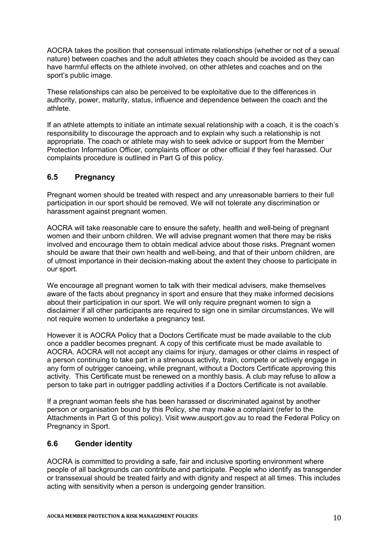AOCRA takes the position that consensual intimate relationships (whether or not of a sexual nature) between coaches and the adult athletes they coach should be avoided as they can have harmful effects on the athlete involved, on other athletes and coaches and on the sport's public image.

These relationships can also be perceived to be exploitative due to the differences in authority, power, maturity, status, influence and dependence between the coach and the athlete.

If an athlete attempts to initiate an intimate sexual relationship with a coach, it is the coach's responsibility to discourage the approach and to explain why such a relationship is not appropriate. The coach or athlete may wish to seek advice or support from the Member Protection Information Officer, complaints officer or other official if they feel harassed. Our complaints procedure is outlined in Part G of this policy.

### **6.5 Pregnancy**

Pregnant women should be treated with respect and any unreasonable barriers to their full participation in our sport should be removed. We will not tolerate any discrimination or harassment against pregnant women.

AOCRA will take reasonable care to ensure the safety, health and well-being of pregnant women and their unborn children. We will advise pregnant women that there may be risks involved and encourage them to obtain medical advice about those risks. Pregnant women should be aware that their own health and well-being, and that of their unborn children, are of utmost importance in their decision-making about the extent they choose to participate in our sport.

We encourage all pregnant women to talk with their medical advisers, make themselves aware of the facts about pregnancy in sport and ensure that they make informed decisions about their participation in our sport. We will only require pregnant women to sign a disclaimer if all other participants are required to sign one in similar circumstances. We will not require women to undertake a pregnancy test.

However it is AOCRA Policy that a Doctors Certificate must be made available to the club once a paddler becomes pregnant. A copy of this certificate must be made available to AOCRA. AOCRA will not accept any claims for injury, damages or other claims in respect of a person continuing to take part in a strenuous activity, train, compete or actively engage in any form of outrigger canoeing, while pregnant, without a Doctors Certificate approving this activity. This Certificate must be renewed on a monthly basis. A club may refuse to allow a person to take part in outrigger paddling activities if a Doctors Certificate is not available.

If a pregnant woman feels she has been harassed or discriminated against by another person or organisation bound by this Policy, she may make a complaint (refer to the Attachments in Part G of this policy). Visit www.ausport.gov.au to read the Federal Policy on Pregnancy in Sport.

## **6.6 Gender identity**

AOCRA is committed to providing a safe, fair and inclusive sporting environment where people of all backgrounds can contribute and participate. People who identify as transgender or transsexual should be treated fairly and with dignity and respect at all times. This includes acting with sensitivity when a person is undergoing gender transition.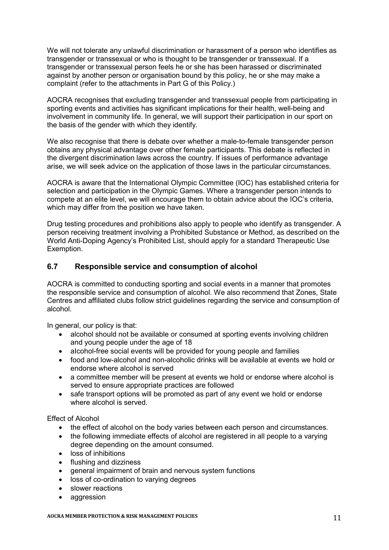We will not tolerate any unlawful discrimination or harassment of a person who identifies as transgender or transsexual or who is thought to be transgender or transsexual. If a transgender or transsexual person feels he or she has been harassed or discriminated against by another person or organisation bound by this policy, he or she may make a complaint (refer to the attachments in Part G of this Policy.)

AOCRA recognises that excluding transgender and transsexual people from participating in sporting events and activities has significant implications for their health, well-being and involvement in community life. In general, we will support their participation in our sport on the basis of the gender with which they identify.

We also recognise that there is debate over whether a male-to-female transgender person obtains any physical advantage over other female participants. This debate is reflected in the divergent discrimination laws across the country. If issues of performance advantage arise, we will seek advice on the application of those laws in the particular circumstances.

AOCRA is aware that the International Olympic Committee (IOC) has established criteria for selection and participation in the Olympic Games. Where a transgender person intends to compete at an elite level, we will encourage them to obtain advice about the IOC's criteria, which may differ from the position we have taken.

Drug testing procedures and prohibitions also apply to people who identify as transgender. A person receiving treatment involving a Prohibited Substance or Method, as described on the World Anti-Doping Agency's Prohibited List, should apply for a standard Therapeutic Use Exemption.

### **6.7 Responsible service and consumption of alcohol**

AOCRA is committed to conducting sporting and social events in a manner that promotes the responsible service and consumption of alcohol. We also recommend that Zones, State Centres and affiliated clubs follow strict guidelines regarding the service and consumption of alcohol.

In general, our policy is that:

- alcohol should not be available or consumed at sporting events involving children and young people under the age of 18
- alcohol-free social events will be provided for young people and families
- food and low-alcohol and non-alcoholic drinks will be available at events we hold or endorse where alcohol is served
- a committee member will be present at events we hold or endorse where alcohol is served to ensure appropriate practices are followed
- safe transport options will be promoted as part of any event we hold or endorse where alcohol is served.

Effect of Alcohol

- the effect of alcohol on the body varies between each person and circumstances.
- the following immediate effects of alcohol are registered in all people to a varying degree depending on the amount consumed.
- loss of inhibitions
- flushing and dizziness
- general impairment of brain and nervous system functions
- loss of co-ordination to varying degrees
- slower reactions
- aggression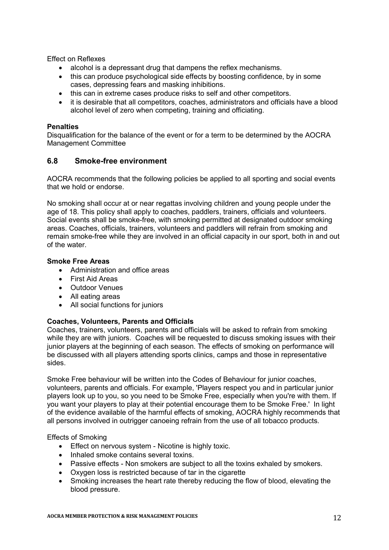Effect on Reflexes

- alcohol is a depressant drug that dampens the reflex mechanisms.
- this can produce psychological side effects by boosting confidence, by in some cases, depressing fears and masking inhibitions.
- this can in extreme cases produce risks to self and other competitors.
- it is desirable that all competitors, coaches, administrators and officials have a blood alcohol level of zero when competing, training and officiating.

#### **Penalties**

Disqualification for the balance of the event or for a term to be determined by the AOCRA Management Committee

### **6.8 Smoke-free environment**

AOCRA recommends that the following policies be applied to all sporting and social events that we hold or endorse.

No smoking shall occur at or near regattas involving children and young people under the age of 18. This policy shall apply to coaches, paddlers, trainers, officials and volunteers. Social events shall be smoke-free, with smoking permitted at designated outdoor smoking areas. Coaches, officials, trainers, volunteers and paddlers will refrain from smoking and remain smoke-free while they are involved in an official capacity in our sport, both in and out of the water.

#### **Smoke Free Areas**

- Administration and office areas
- First Aid Areas
- Outdoor Venues
- All eating areas
- All social functions for juniors

#### **Coaches, Volunteers, Parents and Officials**

Coaches, trainers, volunteers, parents and officials will be asked to refrain from smoking while they are with juniors. Coaches will be requested to discuss smoking issues with their junior players at the beginning of each season. The effects of smoking on performance will be discussed with all players attending sports clinics, camps and those in representative sides.

Smoke Free behaviour will be written into the Codes of Behaviour for junior coaches, volunteers, parents and officials. For example, 'Players respect you and in particular junior players look up to you, so you need to be Smoke Free, especially when you're with them. If you want your players to play at their potential encourage them to be Smoke Free.' In light of the evidence available of the harmful effects of smoking, AOCRA highly recommends that all persons involved in outrigger canoeing refrain from the use of all tobacco products.

Effects of Smoking

- **Effect on nervous system Nicotine is highly toxic.**
- Inhaled smoke contains several toxins.
- Passive effects Non smokers are subject to all the toxins exhaled by smokers.
- Oxygen loss is restricted because of tar in the cigarette
- Smoking increases the heart rate thereby reducing the flow of blood, elevating the blood pressure.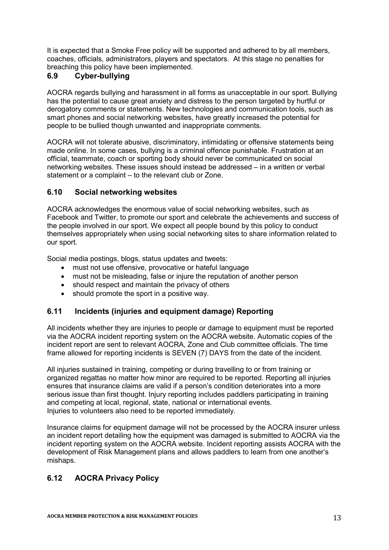It is expected that a Smoke Free policy will be supported and adhered to by all members, coaches, officials, administrators, players and spectators. At this stage no penalties for breaching this policy have been implemented.

## **6.9 Cyber-bullying**

AOCRA regards bullying and harassment in all forms as unacceptable in our sport. Bullying has the potential to cause great anxiety and distress to the person targeted by hurtful or derogatory comments or statements. New technologies and communication tools, such as smart phones and social networking websites, have greatly increased the potential for people to be bullied though unwanted and inappropriate comments.

AOCRA will not tolerate abusive, discriminatory, intimidating or offensive statements being made online. In some cases, bullying is a criminal offence punishable. Frustration at an official, teammate, coach or sporting body should never be communicated on social networking websites. These issues should instead be addressed – in a written or verbal statement or a complaint – to the relevant club or Zone.

### **6.10 Social networking websites**

AOCRA acknowledges the enormous value of social networking websites, such as Facebook and Twitter, to promote our sport and celebrate the achievements and success of the people involved in our sport. We expect all people bound by this policy to conduct themselves appropriately when using social networking sites to share information related to our sport.

Social media postings, blogs, status updates and tweets:

- must not use offensive, provocative or hateful language
- must not be misleading, false or injure the reputation of another person
- should respect and maintain the privacy of others
- should promote the sport in a positive way.

### **6.11 Incidents (injuries and equipment damage) Reporting**

All incidents whether they are injuries to people or damage to equipment must be reported via the AOCRA incident reporting system on the AOCRA website. Automatic copies of the incident report are sent to relevant AOCRA, Zone and Club committee officials. The time frame allowed for reporting incidents is SEVEN (7) DAYS from the date of the incident.

All injuries sustained in training, competing or during travelling to or from training or organized regattas no matter how minor are required to be reported. Reporting all injuries ensures that insurance claims are valid if a person's condition deteriorates into a more serious issue than first thought. Injury reporting includes paddlers participating in training and competing at local, regional, state, national or international events. Injuries to volunteers also need to be reported immediately.

Insurance claims for equipment damage will not be processed by the AOCRA insurer unless an incident report detailing how the equipment was damaged is submitted to AOCRA via the incident reporting system on the AOCRA website. Incident reporting assists AOCRA with the development of Risk Management plans and allows paddlers to learn from one another's mishaps.

## **6.12 AOCRA Privacy Policy**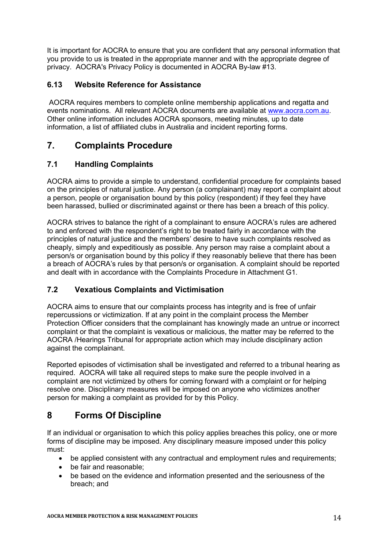It is important for AOCRA to ensure that you are confident that any personal information that you provide to us is treated in the appropriate manner and with the appropriate degree of privacy. AOCRA's Privacy Policy is documented in AOCRA By-law #13.

### **6.13 Website Reference for Assistance**

AOCRA requires members to complete online membership applications and regatta and events nominations. All relevant AOCRA documents are available at www.aocra.com.au. Other online information includes AOCRA sponsors, meeting minutes, up to date information, a list of affiliated clubs in Australia and incident reporting forms.

## **7. Complaints Procedure**

## **7.1 Handling Complaints**

AOCRA aims to provide a simple to understand, confidential procedure for complaints based on the principles of natural justice. Any person (a complainant) may report a complaint about a person, people or organisation bound by this policy (respondent) if they feel they have been harassed, bullied or discriminated against or there has been a breach of this policy.

AOCRA strives to balance the right of a complainant to ensure AOCRA's rules are adhered to and enforced with the respondent's right to be treated fairly in accordance with the principles of natural justice and the members' desire to have such complaints resolved as cheaply, simply and expeditiously as possible. Any person may raise a complaint about a person/s or organisation bound by this policy if they reasonably believe that there has been a breach of AOCRA's rules by that person/s or organisation. A complaint should be reported and dealt with in accordance with the Complaints Procedure in Attachment G1.

## **7.2 Vexatious Complaints and Victimisation**

AOCRA aims to ensure that our complaints process has integrity and is free of unfair repercussions or victimization. If at any point in the complaint process the Member Protection Officer considers that the complainant has knowingly made an untrue or incorrect complaint or that the complaint is vexatious or malicious, the matter may be referred to the AOCRA /Hearings Tribunal for appropriate action which may include disciplinary action against the complainant.

Reported episodes of victimisation shall be investigated and referred to a tribunal hearing as required. AOCRA will take all required steps to make sure the people involved in a complaint are not victimized by others for coming forward with a complaint or for helping resolve one. Disciplinary measures will be imposed on anyone who victimizes another person for making a complaint as provided for by this Policy.

## **8 Forms Of Discipline**

If an individual or organisation to which this policy applies breaches this policy, one or more forms of discipline may be imposed. Any disciplinary measure imposed under this policy must:

- be applied consistent with any contractual and employment rules and requirements;
- be fair and reasonable:
- be based on the evidence and information presented and the seriousness of the breach; and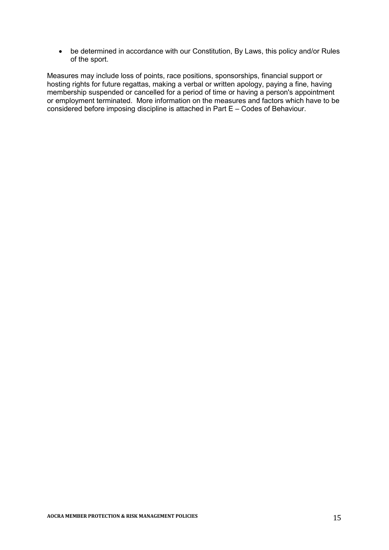be determined in accordance with our Constitution, By Laws, this policy and/or Rules of the sport.

Measures may include loss of points, race positions, sponsorships, financial support or hosting rights for future regattas, making a verbal or written apology, paying a fine, having membership suspended or cancelled for a period of time or having a person's appointment or employment terminated. More information on the measures and factors which have to be considered before imposing discipline is attached in Part E – Codes of Behaviour.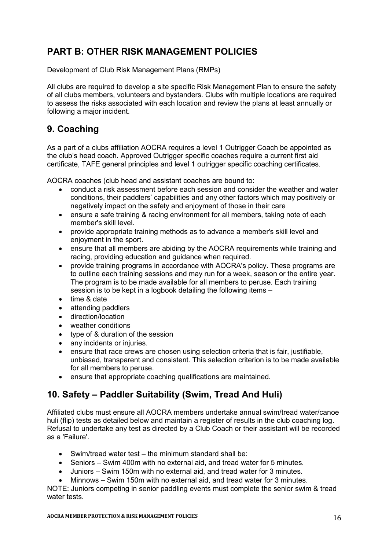## **PART B: OTHER RISK MANAGEMENT POLICIES**

Development of Club Risk Management Plans (RMPs)

All clubs are required to develop a site specific Risk Management Plan to ensure the safety of all clubs members, volunteers and bystanders. Clubs with multiple locations are required to assess the risks associated with each location and review the plans at least annually or following a major incident.

## **9. Coaching**

As a part of a clubs affiliation AOCRA requires a level 1 Outrigger Coach be appointed as the club's head coach. Approved Outrigger specific coaches require a current first aid certificate, TAFE general principles and level 1 outrigger specific coaching certificates.

AOCRA coaches (club head and assistant coaches are bound to:

- conduct a risk assessment before each session and consider the weather and water conditions, their paddlers' capabilities and any other factors which may positively or negatively impact on the safety and enjoyment of those in their care
- ensure a safe training & racing environment for all members, taking note of each member's skill level.
- provide appropriate training methods as to advance a member's skill level and enjoyment in the sport.
- ensure that all members are abiding by the AOCRA requirements while training and racing, providing education and guidance when required.
- provide training programs in accordance with AOCRA's policy. These programs are to outline each training sessions and may run for a week, season or the entire year. The program is to be made available for all members to peruse. Each training session is to be kept in a logbook detailing the following items –
- $\bullet$  time & date
- attending paddlers
- direction/location
- weather conditions
- type of & duration of the session
- any incidents or injuries.
- ensure that race crews are chosen using selection criteria that is fair, justifiable, unbiased, transparent and consistent. This selection criterion is to be made available for all members to peruse.
- ensure that appropriate coaching qualifications are maintained.

## **10. Safety – Paddler Suitability (Swim, Tread And Huli)**

Affiliated clubs must ensure all AOCRA members undertake annual swim/tread water/canoe huli (flip) tests as detailed below and maintain a register of results in the club coaching log. Refusal to undertake any test as directed by a Club Coach or their assistant will be recorded as a 'Failure'.

- Swim/tread water test the minimum standard shall be:
- Seniors Swim 400m with no external aid, and tread water for 5 minutes.
- Juniors Swim 150m with no external aid, and tread water for 3 minutes.
- Minnows Swim 150m with no external aid, and tread water for 3 minutes.

NOTE: Juniors competing in senior paddling events must complete the senior swim & tread water tests.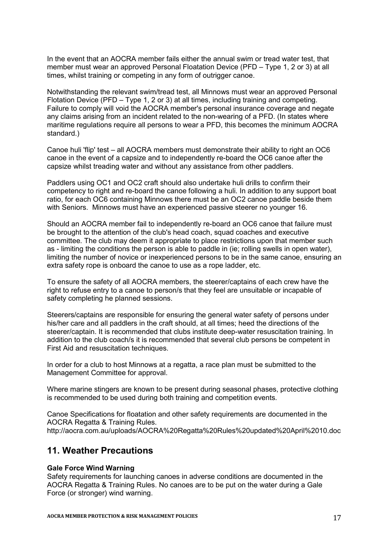In the event that an AOCRA member fails either the annual swim or tread water test, that member must wear an approved Personal Floatation Device (PFD – Type 1, 2 or 3) at all times, whilst training or competing in any form of outrigger canoe.

Notwithstanding the relevant swim/tread test, all Minnows must wear an approved Personal Flotation Device (PFD – Type 1, 2 or 3) at all times, including training and competing. Failure to comply will void the AOCRA member's personal insurance coverage and negate any claims arising from an incident related to the non-wearing of a PFD. (In states where maritime regulations require all persons to wear a PFD, this becomes the minimum AOCRA standard.)

Canoe huli 'flip' test – all AOCRA members must demonstrate their ability to right an OC6 canoe in the event of a capsize and to independently re-board the OC6 canoe after the capsize whilst treading water and without any assistance from other paddlers.

Paddlers using OC1 and OC2 craft should also undertake huli drills to confirm their competency to right and re-board the canoe following a huli. In addition to any support boat ratio, for each OC6 containing Minnows there must be an OC2 canoe paddle beside them with Seniors. Minnows must have an experienced passive steerer no younger 16.

Should an AOCRA member fail to independently re-board an OC6 canoe that failure must be brought to the attention of the club's head coach, squad coaches and executive committee. The club may deem it appropriate to place restrictions upon that member such as - limiting the conditions the person is able to paddle in (ie; rolling swells in open water), limiting the number of novice or inexperienced persons to be in the same canoe, ensuring an extra safety rope is onboard the canoe to use as a rope ladder, etc.

To ensure the safety of all AOCRA members, the steerer/captains of each crew have the right to refuse entry to a canoe to person/s that they feel are unsuitable or incapable of safety completing he planned sessions.

Steerers/captains are responsible for ensuring the general water safety of persons under his/her care and all paddlers in the craft should, at all times; heed the directions of the steerer/captain. It is recommended that clubs institute deep-water resuscitation training. In addition to the club coach/s it is recommended that several club persons be competent in First Aid and resuscitation techniques.

In order for a club to host Minnows at a regatta, a race plan must be submitted to the Management Committee for approval.

Where marine stingers are known to be present during seasonal phases, protective clothing is recommended to be used during both training and competition events.

Canoe Specifications for floatation and other safety requirements are documented in the AOCRA Regatta & Training Rules. http://aocra.com.au/uploads/AOCRA%20Regatta%20Rules%20updated%20April%2010.doc

## **11. Weather Precautions**

#### **Gale Force Wind Warning**

Safety requirements for launching canoes in adverse conditions are documented in the AOCRA Regatta & Training Rules. No canoes are to be put on the water during a Gale Force (or stronger) wind warning.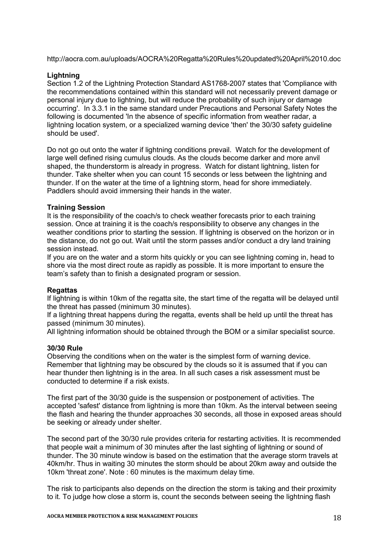http://aocra.com.au/uploads/AOCRA%20Regatta%20Rules%20updated%20April%2010.doc

#### **Lightning**

Section 1.2 of the Lightning Protection Standard AS1768-2007 states that 'Compliance with the recommendations contained within this standard will not necessarily prevent damage or personal injury due to lightning, but will reduce the probability of such injury or damage occurring'. In 3.3.1 in the same standard under Precautions and Personal Safety Notes the following is documented 'In the absence of specific information from weather radar, a lightning location system, or a specialized warning device 'then' the 30/30 safety guideline should be used'.

Do not go out onto the water if lightning conditions prevail. Watch for the development of large well defined rising cumulus clouds. As the clouds become darker and more anvil shaped, the thunderstorm is already in progress. Watch for distant lightning, listen for thunder. Take shelter when you can count 15 seconds or less between the lightning and thunder. If on the water at the time of a lightning storm, head for shore immediately. Paddlers should avoid immersing their hands in the water.

#### **Training Session**

It is the responsibility of the coach/s to check weather forecasts prior to each training session. Once at training it is the coach/s responsibility to observe any changes in the weather conditions prior to starting the session. If lightning is observed on the horizon or in the distance, do not go out. Wait until the storm passes and/or conduct a dry land training session instead.

If you are on the water and a storm hits quickly or you can see lightning coming in, head to shore via the most direct route as rapidly as possible. It is more important to ensure the team's safety than to finish a designated program or session.

#### **Regattas**

If lightning is within 10km of the regatta site, the start time of the regatta will be delayed until the threat has passed (minimum 30 minutes).

If a lightning threat happens during the regatta, events shall be held up until the threat has passed (minimum 30 minutes).

All lightning information should be obtained through the BOM or a similar specialist source.

#### **30/30 Rule**

Observing the conditions when on the water is the simplest form of warning device. Remember that lightning may be obscured by the clouds so it is assumed that if you can hear thunder then lightning is in the area. In all such cases a risk assessment must be conducted to determine if a risk exists.

The first part of the 30/30 guide is the suspension or postponement of activities. The accepted 'safest' distance from lightning is more than 10km. As the interval between seeing the flash and hearing the thunder approaches 30 seconds, all those in exposed areas should be seeking or already under shelter.

The second part of the 30/30 rule provides criteria for restarting activities. It is recommended that people wait a minimum of 30 minutes after the last sighting of lightning or sound of thunder. The 30 minute window is based on the estimation that the average storm travels at 40km/hr. Thus in waiting 30 minutes the storm should be about 20km away and outside the 10km 'threat zone'. Note : 60 minutes is the maximum delay time.

The risk to participants also depends on the direction the storm is taking and their proximity to it. To judge how close a storm is, count the seconds between seeing the lightning flash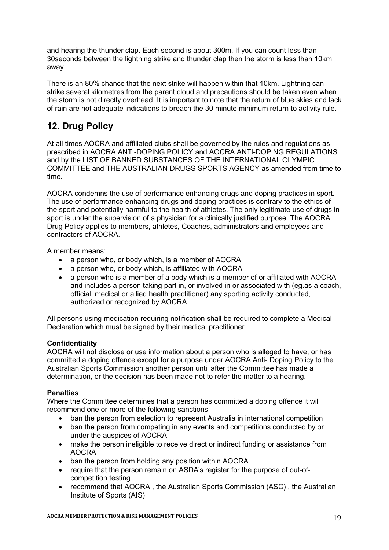and hearing the thunder clap. Each second is about 300m. If you can count less than 30seconds between the lightning strike and thunder clap then the storm is less than 10km away.

There is an 80% chance that the next strike will happen within that 10km. Lightning can strike several kilometres from the parent cloud and precautions should be taken even when the storm is not directly overhead. It is important to note that the return of blue skies and lack of rain are not adequate indications to breach the 30 minute minimum return to activity rule.

## **12. Drug Policy**

At all times AOCRA and affiliated clubs shall be governed by the rules and regulations as prescribed in AOCRA ANTI-DOPING POLICY and AOCRA ANTI-DOPING REGULATIONS and by the LIST OF BANNED SUBSTANCES OF THE INTERNATIONAL OLYMPIC COMMITTEE and THE AUSTRALIAN DRUGS SPORTS AGENCY as amended from time to time.

AOCRA condemns the use of performance enhancing drugs and doping practices in sport. The use of performance enhancing drugs and doping practices is contrary to the ethics of the sport and potentially harmful to the health of athletes. The only legitimate use of drugs in sport is under the supervision of a physician for a clinically justified purpose. The AOCRA Drug Policy applies to members, athletes, Coaches, administrators and employees and contractors of AOCRA.

A member means:

- a person who, or body which, is a member of AOCRA
- a person who, or body which, is affiliated with AOCRA
- a person who is a member of a body which is a member of or affiliated with AOCRA and includes a person taking part in, or involved in or associated with (eg.as a coach, official, medical or allied health practitioner) any sporting activity conducted, authorized or recognized by AOCRA

All persons using medication requiring notification shall be required to complete a Medical Declaration which must be signed by their medical practitioner.

## **Confidentiality**

AOCRA will not disclose or use information about a person who is alleged to have, or has committed a doping offence except for a purpose under AOCRA Anti- Doping Policy to the Australian Sports Commission another person until after the Committee has made a determination, or the decision has been made not to refer the matter to a hearing.

### **Penalties**

Where the Committee determines that a person has committed a doping offence it will recommend one or more of the following sanctions.

- ban the person from selection to represent Australia in international competition
- ban the person from competing in any events and competitions conducted by or under the auspices of AOCRA
- make the person ineligible to receive direct or indirect funding or assistance from AOCRA
- ban the person from holding any position within AOCRA
- require that the person remain on ASDA's register for the purpose of out-ofcompetition testing
- recommend that AOCRA , the Australian Sports Commission (ASC) , the Australian Institute of Sports (AIS)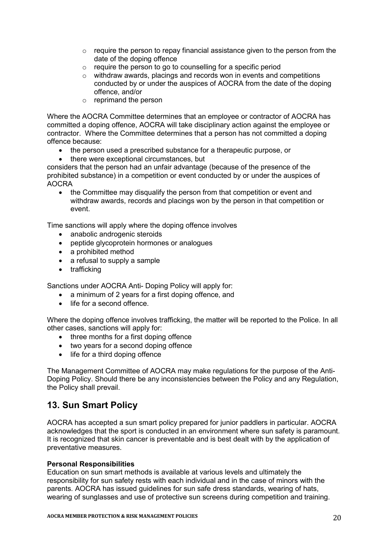- o require the person to repay financial assistance given to the person from the date of the doping offence
- o require the person to go to counselling for a specific period
- o withdraw awards, placings and records won in events and competitions conducted by or under the auspices of AOCRA from the date of the doping offence, and/or
- o reprimand the person

Where the AOCRA Committee determines that an employee or contractor of AOCRA has committed a doping offence, AOCRA will take disciplinary action against the employee or contractor. Where the Committee determines that a person has not committed a doping offence because:

- the person used a prescribed substance for a therapeutic purpose, or
- there were exceptional circumstances, but

considers that the person had an unfair advantage (because of the presence of the prohibited substance) in a competition or event conducted by or under the auspices of AOCRA

• the Committee may disqualify the person from that competition or event and withdraw awards, records and placings won by the person in that competition or event.

Time sanctions will apply where the doping offence involves

- anabolic androgenic steroids
- peptide glycoprotein hormones or analogues
- a prohibited method
- a refusal to supply a sample
- trafficking

Sanctions under AOCRA Anti- Doping Policy will apply for:

- a minimum of 2 years for a first doping offence, and
- life for a second offence.

Where the doping offence involves trafficking, the matter will be reported to the Police. In all other cases, sanctions will apply for:

- three months for a first doping offence
- two years for a second doping offence
- life for a third doping offence

The Management Committee of AOCRA may make regulations for the purpose of the Anti-Doping Policy. Should there be any inconsistencies between the Policy and any Regulation, the Policy shall prevail.

## **13. Sun Smart Policy**

AOCRA has accepted a sun smart policy prepared for junior paddlers in particular. AOCRA acknowledges that the sport is conducted in an environment where sun safety is paramount. It is recognized that skin cancer is preventable and is best dealt with by the application of preventative measures.

#### **Personal Responsibilities**

Education on sun smart methods is available at various levels and ultimately the responsibility for sun safety rests with each individual and in the case of minors with the parents. AOCRA has issued guidelines for sun safe dress standards, wearing of hats, wearing of sunglasses and use of protective sun screens during competition and training.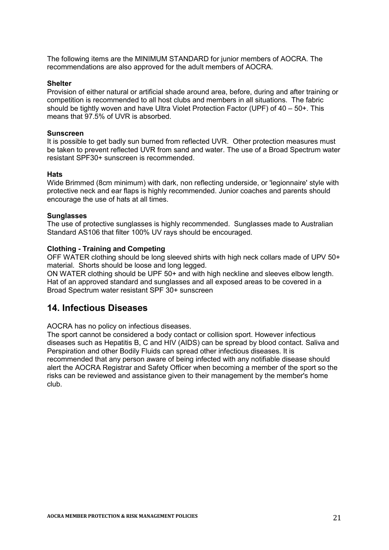The following items are the MINIMUM STANDARD for junior members of AOCRA. The recommendations are also approved for the adult members of AOCRA.

#### **Shelter**

Provision of either natural or artificial shade around area, before, during and after training or competition is recommended to all host clubs and members in all situations. The fabric should be tightly woven and have Ultra Violet Protection Factor (UPF) of  $40 - 50$ +. This means that 97.5% of UVR is absorbed.

#### **Sunscreen**

It is possible to get badly sun burned from reflected UVR. Other protection measures must be taken to prevent reflected UVR from sand and water. The use of a Broad Spectrum water resistant SPF30+ sunscreen is recommended.

#### **Hats**

Wide Brimmed (8cm minimum) with dark, non reflecting underside, or 'legionnaire' style with protective neck and ear flaps is highly recommended. Junior coaches and parents should encourage the use of hats at all times.

#### **Sunglasses**

The use of protective sunglasses is highly recommended. Sunglasses made to Australian Standard AS106 that filter 100% UV rays should be encouraged.

#### **Clothing - Training and Competing**

OFF WATER clothing should be long sleeved shirts with high neck collars made of UPV 50+ material. Shorts should be loose and long legged.

ON WATER clothing should be UPF 50+ and with high neckline and sleeves elbow length. Hat of an approved standard and sunglasses and all exposed areas to be covered in a Broad Spectrum water resistant SPF 30+ sunscreen

### **14. Infectious Diseases**

AOCRA has no policy on infectious diseases.

The sport cannot be considered a body contact or collision sport. However infectious diseases such as Hepatitis B, C and HIV (AIDS) can be spread by blood contact. Saliva and Perspiration and other Bodily Fluids can spread other infectious diseases. It is recommended that any person aware of being infected with any notifiable disease should alert the AOCRA Registrar and Safety Officer when becoming a member of the sport so the risks can be reviewed and assistance given to their management by the member's home club.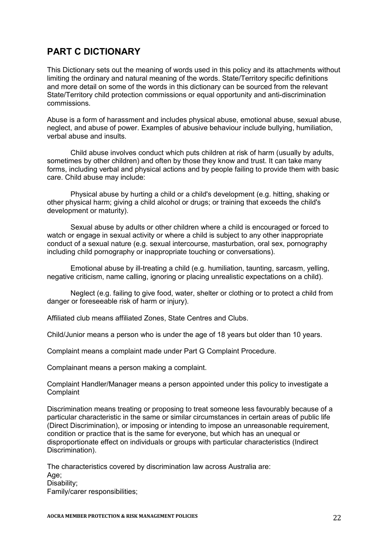## **PART C DICTIONARY**

This Dictionary sets out the meaning of words used in this policy and its attachments without limiting the ordinary and natural meaning of the words. State/Territory specific definitions and more detail on some of the words in this dictionary can be sourced from the relevant State/Territory child protection commissions or equal opportunity and anti-discrimination commissions.

Abuse is a form of harassment and includes physical abuse, emotional abuse, sexual abuse, neglect, and abuse of power. Examples of abusive behaviour include bullying, humiliation, verbal abuse and insults.

Child abuse involves conduct which puts children at risk of harm (usually by adults, sometimes by other children) and often by those they know and trust. It can take many forms, including verbal and physical actions and by people failing to provide them with basic care. Child abuse may include:

Physical abuse by hurting a child or a child's development (e.g. hitting, shaking or other physical harm; giving a child alcohol or drugs; or training that exceeds the child's development or maturity).

Sexual abuse by adults or other children where a child is encouraged or forced to watch or engage in sexual activity or where a child is subject to any other inappropriate conduct of a sexual nature (e.g. sexual intercourse, masturbation, oral sex, pornography including child pornography or inappropriate touching or conversations).

Emotional abuse by ill-treating a child (e.g. humiliation, taunting, sarcasm, yelling, negative criticism, name calling, ignoring or placing unrealistic expectations on a child).

Neglect (e.g. failing to give food, water, shelter or clothing or to protect a child from danger or foreseeable risk of harm or injury).

Affiliated club means affiliated Zones, State Centres and Clubs.

Child/Junior means a person who is under the age of 18 years but older than 10 years.

Complaint means a complaint made under Part G Complaint Procedure.

Complainant means a person making a complaint.

Complaint Handler/Manager means a person appointed under this policy to investigate a **Complaint** 

Discrimination means treating or proposing to treat someone less favourably because of a particular characteristic in the same or similar circumstances in certain areas of public life (Direct Discrimination), or imposing or intending to impose an unreasonable requirement, condition or practice that is the same for everyone, but which has an unequal or disproportionate effect on individuals or groups with particular characteristics (Indirect Discrimination).

The characteristics covered by discrimination law across Australia are: Age; Disability; Family/carer responsibilities;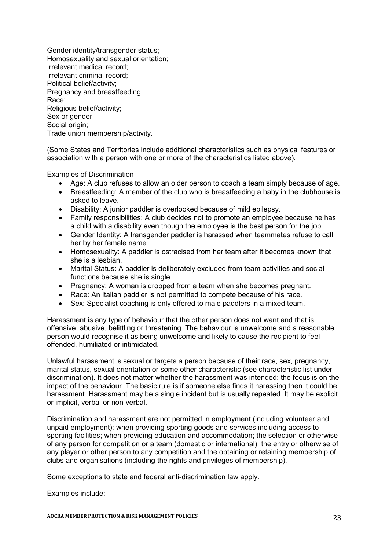Gender identity/transgender status; Homosexuality and sexual orientation; Irrelevant medical record; Irrelevant criminal record; Political belief/activity; Pregnancy and breastfeeding; Race; Religious belief/activity; Sex or gender; Social origin; Trade union membership/activity.

(Some States and Territories include additional characteristics such as physical features or association with a person with one or more of the characteristics listed above).

Examples of Discrimination

- Age: A club refuses to allow an older person to coach a team simply because of age.
- Breastfeeding: A member of the club who is breastfeeding a baby in the clubhouse is asked to leave.
- Disability: A junior paddler is overlooked because of mild epilepsy.
- Family responsibilities: A club decides not to promote an employee because he has a child with a disability even though the employee is the best person for the job.
- Gender Identity: A transgender paddler is harassed when teammates refuse to call her by her female name.
- Homosexuality: A paddler is ostracised from her team after it becomes known that she is a lesbian.
- Marital Status: A paddler is deliberately excluded from team activities and social functions because she is single
- Pregnancy: A woman is dropped from a team when she becomes pregnant.
- Race: An Italian paddler is not permitted to compete because of his race.
- Sex: Specialist coaching is only offered to male paddlers in a mixed team.

Harassment is any type of behaviour that the other person does not want and that is offensive, abusive, belittling or threatening. The behaviour is unwelcome and a reasonable person would recognise it as being unwelcome and likely to cause the recipient to feel offended, humiliated or intimidated.

Unlawful harassment is sexual or targets a person because of their race, sex, pregnancy, marital status, sexual orientation or some other characteristic (see characteristic list under discrimination). It does not matter whether the harassment was intended: the focus is on the impact of the behaviour. The basic rule is if someone else finds it harassing then it could be harassment. Harassment may be a single incident but is usually repeated. It may be explicit or implicit, verbal or non-verbal.

Discrimination and harassment are not permitted in employment (including volunteer and unpaid employment); when providing sporting goods and services including access to sporting facilities; when providing education and accommodation; the selection or otherwise of any person for competition or a team (domestic or international); the entry or otherwise of any player or other person to any competition and the obtaining or retaining membership of clubs and organisations (including the rights and privileges of membership).

Some exceptions to state and federal anti-discrimination law apply.

Examples include: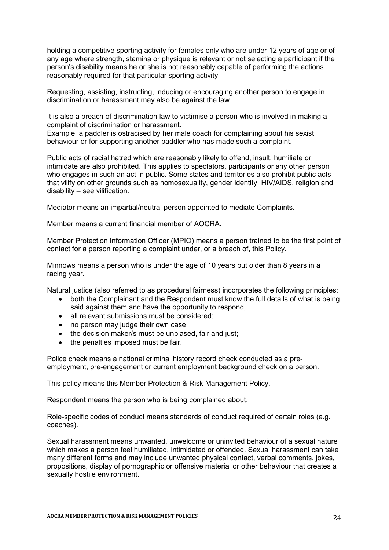holding a competitive sporting activity for females only who are under 12 years of age or of any age where strength, stamina or physique is relevant or not selecting a participant if the person's disability means he or she is not reasonably capable of performing the actions reasonably required for that particular sporting activity.

Requesting, assisting, instructing, inducing or encouraging another person to engage in discrimination or harassment may also be against the law.

It is also a breach of discrimination law to victimise a person who is involved in making a complaint of discrimination or harassment.

Example: a paddler is ostracised by her male coach for complaining about his sexist behaviour or for supporting another paddler who has made such a complaint.

Public acts of racial hatred which are reasonably likely to offend, insult, humiliate or intimidate are also prohibited. This applies to spectators, participants or any other person who engages in such an act in public. Some states and territories also prohibit public acts that vilify on other grounds such as homosexuality, gender identity, HIV/AIDS, religion and disability – see vilification.

Mediator means an impartial/neutral person appointed to mediate Complaints.

Member means a current financial member of AOCRA.

Member Protection Information Officer (MPIO) means a person trained to be the first point of contact for a person reporting a complaint under, or a breach of, this Policy.

Minnows means a person who is under the age of 10 years but older than 8 years in a racing year.

Natural justice (also referred to as procedural fairness) incorporates the following principles:

- both the Complainant and the Respondent must know the full details of what is being said against them and have the opportunity to respond;
- all relevant submissions must be considered;
- no person may judge their own case;
- the decision maker/s must be unbiased, fair and just:
- the penalties imposed must be fair.

Police check means a national criminal history record check conducted as a preemployment, pre-engagement or current employment background check on a person.

This policy means this Member Protection & Risk Management Policy.

Respondent means the person who is being complained about.

Role-specific codes of conduct means standards of conduct required of certain roles (e.g. coaches).

Sexual harassment means unwanted, unwelcome or uninvited behaviour of a sexual nature which makes a person feel humiliated, intimidated or offended. Sexual harassment can take many different forms and may include unwanted physical contact, verbal comments, jokes, propositions, display of pornographic or offensive material or other behaviour that creates a sexually hostile environment.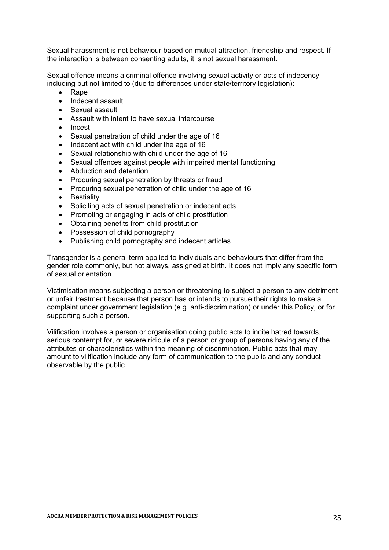Sexual harassment is not behaviour based on mutual attraction, friendship and respect. If the interaction is between consenting adults, it is not sexual harassment.

Sexual offence means a criminal offence involving sexual activity or acts of indecency including but not limited to (due to differences under state/territory legislation):

- Rape
- Indecent assault
- Sexual assault
- Assault with intent to have sexual intercourse
- Incest
- Sexual penetration of child under the age of 16
- Indecent act with child under the age of 16
- Sexual relationship with child under the age of 16
- Sexual offences against people with impaired mental functioning
- Abduction and detention
- Procuring sexual penetration by threats or fraud
- Procuring sexual penetration of child under the age of 16
- Bestiality
- Soliciting acts of sexual penetration or indecent acts
- Promoting or engaging in acts of child prostitution
- Obtaining benefits from child prostitution
- Possession of child pornography
- Publishing child pornography and indecent articles.

Transgender is a general term applied to individuals and behaviours that differ from the gender role commonly, but not always, assigned at birth. It does not imply any specific form of sexual orientation.

Victimisation means subjecting a person or threatening to subject a person to any detriment or unfair treatment because that person has or intends to pursue their rights to make a complaint under government legislation (e.g. anti-discrimination) or under this Policy, or for supporting such a person.

Vilification involves a person or organisation doing public acts to incite hatred towards, serious contempt for, or severe ridicule of a person or group of persons having any of the attributes or characteristics within the meaning of discrimination. Public acts that may amount to vilification include any form of communication to the public and any conduct observable by the public.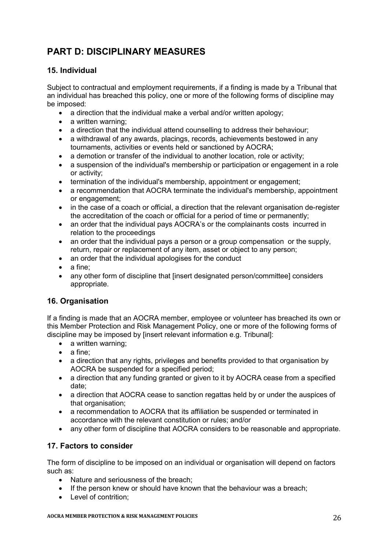## **PART D: DISCIPLINARY MEASURES**

### **15. Individual**

Subject to contractual and employment requirements, if a finding is made by a Tribunal that an individual has breached this policy, one or more of the following forms of discipline may be imposed:

- a direction that the individual make a verbal and/or written apology;
- a written warning:
- a direction that the individual attend counselling to address their behaviour;
- a withdrawal of any awards, placings, records, achievements bestowed in any tournaments, activities or events held or sanctioned by AOCRA;
- a demotion or transfer of the individual to another location, role or activity;
- a suspension of the individual's membership or participation or engagement in a role or activity;
- termination of the individual's membership, appointment or engagement;
- a recommendation that AOCRA terminate the individual's membership, appointment or engagement;
- in the case of a coach or official, a direction that the relevant organisation de-register the accreditation of the coach or official for a period of time or permanently;
- an order that the individual pays AOCRA's or the complainants costs incurred in relation to the proceedings
- an order that the individual pays a person or a group compensation or the supply, return, repair or replacement of any item, asset or object to any person;
- an order that the individual apologises for the conduct
- a fine;
- any other form of discipline that [insert designated person/committee] considers appropriate.

### **16. Organisation**

If a finding is made that an AOCRA member, employee or volunteer has breached its own or this Member Protection and Risk Management Policy, one or more of the following forms of discipline may be imposed by [insert relevant information e.g. Tribunal]:

- a written warning:
- a fine:
- a direction that any rights, privileges and benefits provided to that organisation by AOCRA be suspended for a specified period;
- a direction that any funding granted or given to it by AOCRA cease from a specified date;
- a direction that AOCRA cease to sanction regattas held by or under the auspices of that organisation;
- a recommendation to AOCRA that its affiliation be suspended or terminated in accordance with the relevant constitution or rules; and/or
- any other form of discipline that AOCRA considers to be reasonable and appropriate.

### **17. Factors to consider**

The form of discipline to be imposed on an individual or organisation will depend on factors such as:

- Nature and seriousness of the breach:
- $\bullet$  If the person knew or should have known that the behaviour was a breach:
- Level of contrition: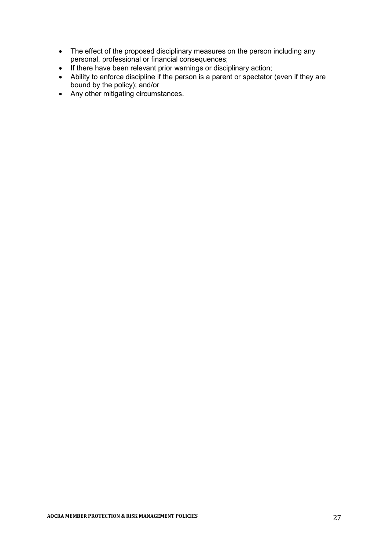- The effect of the proposed disciplinary measures on the person including any personal, professional or financial consequences;
- If there have been relevant prior warnings or disciplinary action;
- Ability to enforce discipline if the person is a parent or spectator (even if they are bound by the policy); and/or
- Any other mitigating circumstances.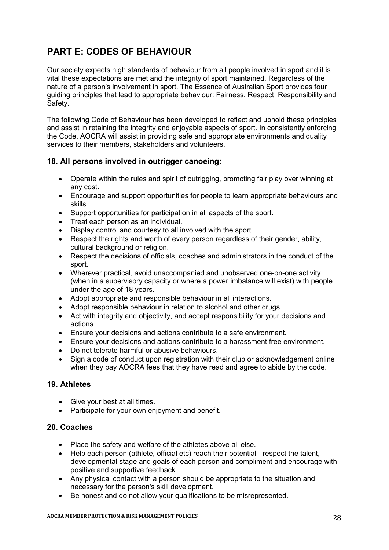## **PART E: CODES OF BEHAVIOUR**

Our society expects high standards of behaviour from all people involved in sport and it is vital these expectations are met and the integrity of sport maintained. Regardless of the nature of a person's involvement in sport, The Essence of Australian Sport provides four guiding principles that lead to appropriate behaviour: Fairness, Respect, Responsibility and Safety.

The following Code of Behaviour has been developed to reflect and uphold these principles and assist in retaining the integrity and enjoyable aspects of sport. In consistently enforcing the Code, AOCRA will assist in providing safe and appropriate environments and quality services to their members, stakeholders and volunteers.

### **18. All persons involved in outrigger canoeing:**

- Operate within the rules and spirit of outrigging, promoting fair play over winning at any cost.
- Encourage and support opportunities for people to learn appropriate behaviours and skills.
- Support opportunities for participation in all aspects of the sport.
- Treat each person as an individual.
- Display control and courtesy to all involved with the sport.
- Respect the rights and worth of every person regardless of their gender, ability, cultural background or religion.
- Respect the decisions of officials, coaches and administrators in the conduct of the sport.
- Wherever practical, avoid unaccompanied and unobserved one-on-one activity (when in a supervisory capacity or where a power imbalance will exist) with people under the age of 18 years.
- Adopt appropriate and responsible behaviour in all interactions.
- Adopt responsible behaviour in relation to alcohol and other drugs.
- Act with integrity and objectivity, and accept responsibility for your decisions and actions.
- Ensure your decisions and actions contribute to a safe environment.
- Ensure your decisions and actions contribute to a harassment free environment.
- Do not tolerate harmful or abusive behaviours.
- Sign a code of conduct upon registration with their club or acknowledgement online when they pay AOCRA fees that they have read and agree to abide by the code.

### **19. Athletes**

- Give your best at all times.
- Participate for your own enjoyment and benefit.

#### **20. Coaches**

- Place the safety and welfare of the athletes above all else.
- Help each person (athlete, official etc) reach their potential respect the talent, developmental stage and goals of each person and compliment and encourage with positive and supportive feedback.
- Any physical contact with a person should be appropriate to the situation and necessary for the person's skill development.
- Be honest and do not allow your qualifications to be misrepresented.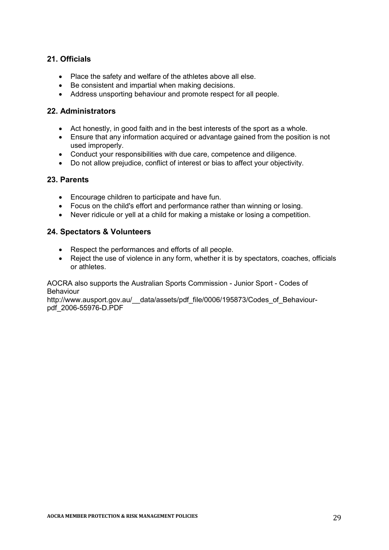### **21. Officials**

- Place the safety and welfare of the athletes above all else.
- Be consistent and impartial when making decisions.
- Address unsporting behaviour and promote respect for all people.

### **22. Administrators**

- Act honestly, in good faith and in the best interests of the sport as a whole.
- Ensure that any information acquired or advantage gained from the position is not used improperly.
- Conduct your responsibilities with due care, competence and diligence.
- Do not allow prejudice, conflict of interest or bias to affect your objectivity.

#### **23. Parents**

- Encourage children to participate and have fun.
- Focus on the child's effort and performance rather than winning or losing.
- Never ridicule or yell at a child for making a mistake or losing a competition.

### **24. Spectators & Volunteers**

- Respect the performances and efforts of all people.
- Reject the use of violence in any form, whether it is by spectators, coaches, officials or athletes.

AOCRA also supports the Australian Sports Commission - Junior Sport - Codes of Behaviour

http://www.ausport.gov.au/ data/assets/pdf file/0006/195873/Codes of Behaviourpdf\_2006-55976-D.PDF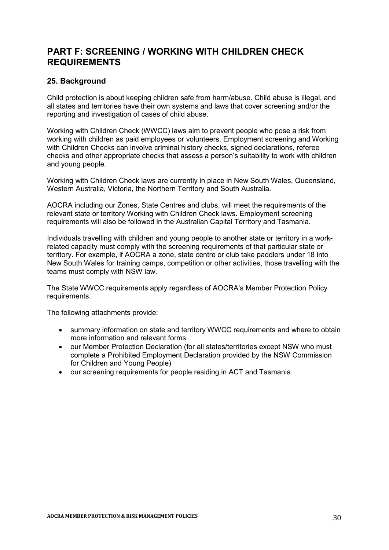## **PART F: SCREENING / WORKING WITH CHILDREN CHECK REQUIREMENTS**

### **25. Background**

Child protection is about keeping children safe from harm/abuse. Child abuse is illegal, and all states and territories have their own systems and laws that cover screening and/or the reporting and investigation of cases of child abuse.

Working with Children Check (WWCC) laws aim to prevent people who pose a risk from working with children as paid employees or volunteers. Employment screening and Working with Children Checks can involve criminal history checks, signed declarations, referee checks and other appropriate checks that assess a person's suitability to work with children and young people.

Working with Children Check laws are currently in place in New South Wales, Queensland, Western Australia, Victoria, the Northern Territory and South Australia.

AOCRA including our Zones, State Centres and clubs, will meet the requirements of the relevant state or territory Working with Children Check laws. Employment screening requirements will also be followed in the Australian Capital Territory and Tasmania.

Individuals travelling with children and young people to another state or territory in a workrelated capacity must comply with the screening requirements of that particular state or territory. For example, if AOCRA a zone, state centre or club take paddlers under 18 into New South Wales for training camps, competition or other activities, those travelling with the teams must comply with NSW law.

The State WWCC requirements apply regardless of AOCRA's Member Protection Policy requirements.

The following attachments provide:

- summary information on state and territory WWCC requirements and where to obtain more information and relevant forms
- our Member Protection Declaration (for all states/territories except NSW who must complete a Prohibited Employment Declaration provided by the NSW Commission for Children and Young People)
- our screening requirements for people residing in ACT and Tasmania.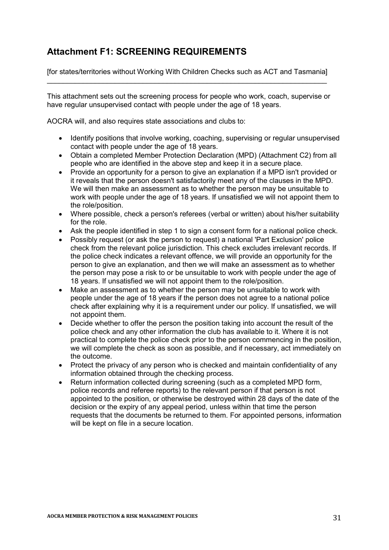## **Attachment F1: SCREENING REQUIREMENTS**

[for states/territories without Working With Children Checks such as ACT and Tasmania] \_\_\_\_\_\_\_\_\_\_\_\_\_\_\_\_\_\_\_\_\_\_\_\_\_\_\_\_\_\_\_\_\_\_\_\_\_\_\_\_\_\_\_\_\_\_\_\_\_\_\_\_\_\_\_\_\_\_\_\_\_\_\_\_\_\_\_\_\_\_

This attachment sets out the screening process for people who work, coach, supervise or have regular unsupervised contact with people under the age of 18 years.

AOCRA will, and also requires state associations and clubs to:

- Identify positions that involve working, coaching, supervising or regular unsupervised contact with people under the age of 18 years.
- Obtain a completed Member Protection Declaration (MPD) (Attachment C2) from all people who are identified in the above step and keep it in a secure place.
- Provide an opportunity for a person to give an explanation if a MPD isn't provided or it reveals that the person doesn't satisfactorily meet any of the clauses in the MPD. We will then make an assessment as to whether the person may be unsuitable to work with people under the age of 18 years. If unsatisfied we will not appoint them to the role/position.
- Where possible, check a person's referees (verbal or written) about his/her suitability for the role.
- Ask the people identified in step 1 to sign a consent form for a national police check.
- Possibly request (or ask the person to request) a national 'Part Exclusion' police check from the relevant police jurisdiction. This check excludes irrelevant records. If the police check indicates a relevant offence, we will provide an opportunity for the person to give an explanation, and then we will make an assessment as to whether the person may pose a risk to or be unsuitable to work with people under the age of 18 years. If unsatisfied we will not appoint them to the role/position.
- Make an assessment as to whether the person may be unsuitable to work with people under the age of 18 years if the person does not agree to a national police check after explaining why it is a requirement under our policy. If unsatisfied, we will not appoint them.
- Decide whether to offer the person the position taking into account the result of the police check and any other information the club has available to it. Where it is not practical to complete the police check prior to the person commencing in the position, we will complete the check as soon as possible, and if necessary, act immediately on the outcome.
- Protect the privacy of any person who is checked and maintain confidentiality of any information obtained through the checking process.
- Return information collected during screening (such as a completed MPD form, police records and referee reports) to the relevant person if that person is not appointed to the position, or otherwise be destroyed within 28 days of the date of the decision or the expiry of any appeal period, unless within that time the person requests that the documents be returned to them. For appointed persons, information will be kept on file in a secure location.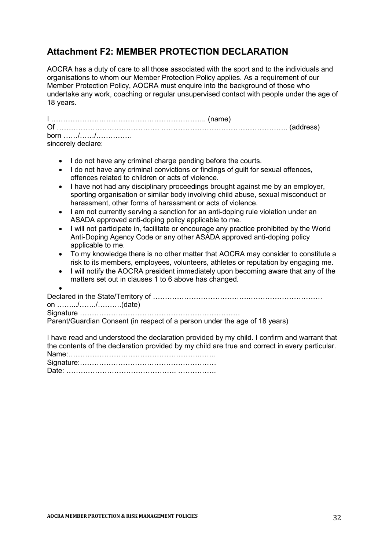## **Attachment F2: MEMBER PROTECTION DECLARATION**

AOCRA has a duty of care to all those associated with the sport and to the individuals and organisations to whom our Member Protection Policy applies. As a requirement of our Member Protection Policy, AOCRA must enquire into the background of those who undertake any work, coaching or regular unsupervised contact with people under the age of 18 years.

| born //            |  |
|--------------------|--|
| sincerely declare: |  |

- I do not have any criminal charge pending before the courts.
- I do not have any criminal convictions or findings of quilt for sexual offences, offences related to children or acts of violence.
- I have not had any disciplinary proceedings brought against me by an employer, sporting organisation or similar body involving child abuse, sexual misconduct or harassment, other forms of harassment or acts of violence.
- I am not currently serving a sanction for an anti-doping rule violation under an ASADA approved anti-doping policy applicable to me.
- I will not participate in, facilitate or encourage any practice prohibited by the World Anti-Doping Agency Code or any other ASADA approved anti-doping policy applicable to me.
- To my knowledge there is no other matter that AOCRA may consider to constitute a risk to its members, employees, volunteers, athletes or reputation by engaging me.
- I will notify the AOCRA president immediately upon becoming aware that any of the matters set out in clauses 1 to 6 above has changed.

 $\bullet$ Declared in the State/Territory of ………………………………….…………………………. on …….../……./……….(date) Signature …………………………………………………………. Parent/Guardian Consent (in respect of a person under the age of 18 years)

| I have read and understood the declaration provided by my child. I confirm and warrant that    |
|------------------------------------------------------------------------------------------------|
| the contents of the declaration provided by my child are true and correct in every particular. |
|                                                                                                |
|                                                                                                |
|                                                                                                |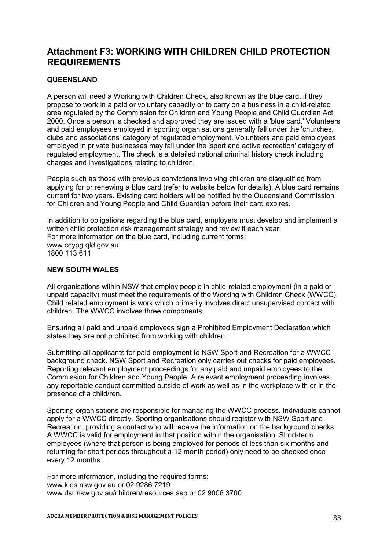## **Attachment F3: WORKING WITH CHILDREN CHILD PROTECTION REQUIREMENTS**

### **QUEENSLAND**

A person will need a Working with Children Check, also known as the blue card, if they propose to work in a paid or voluntary capacity or to carry on a business in a child-related area regulated by the Commission for Children and Young People and Child Guardian Act 2000. Once a person is checked and approved they are issued with a 'blue card.' Volunteers and paid employees employed in sporting organisations generally fall under the 'churches, clubs and associations' category of regulated employment. Volunteers and paid employees employed in private businesses may fall under the 'sport and active recreation' category of regulated employment. The check is a detailed national criminal history check including charges and investigations relating to children.

People such as those with previous convictions involving children are disqualified from applying for or renewing a blue card (refer to website below for details). A blue card remains current for two years. Existing card holders will be notified by the Queensland Commission for Children and Young People and Child Guardian before their card expires.

In addition to obligations regarding the blue card, employers must develop and implement a written child protection risk management strategy and review it each year. For more information on the blue card, including current forms: www.ccypg.qld.gov.au 1800 113 611

#### **NEW SOUTH WALES**

All organisations within NSW that employ people in child-related employment (in a paid or unpaid capacity) must meet the requirements of the Working with Children Check (WWCC). Child related employment is work which primarily involves direct unsupervised contact with children. The WWCC involves three components:

Ensuring all paid and unpaid employees sign a Prohibited Employment Declaration which states they are not prohibited from working with children.

Submitting all applicants for paid employment to NSW Sport and Recreation for a WWCC background check. NSW Sport and Recreation only carries out checks for paid employees. Reporting relevant employment proceedings for any paid and unpaid employees to the Commission for Children and Young People. A relevant employment proceeding involves any reportable conduct committed outside of work as well as in the workplace with or in the presence of a child/ren.

Sporting organisations are responsible for managing the WWCC process. Individuals cannot apply for a WWCC directly. Sporting organisations should register with NSW Sport and Recreation, providing a contact who will receive the information on the background checks. A WWCC is valid for employment in that position within the organisation. Short-term employees (where that person is being employed for periods of less than six months and returning for short periods throughout a 12 month period) only need to be checked once every 12 months.

For more information, including the required forms: www.kids.nsw.gov.au or 02 9286 7219 www.dsr.nsw.gov.au/children/resources.asp or 02 9006 3700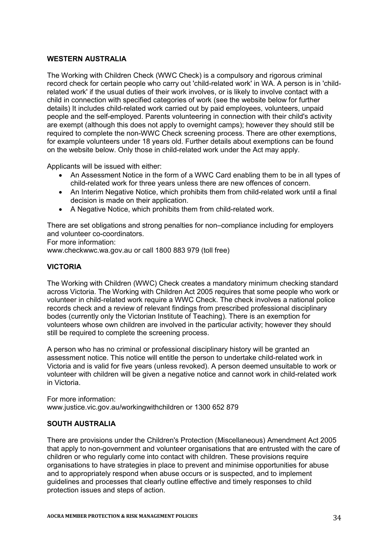#### **WESTERN AUSTRALIA**

The Working with Children Check (WWC Check) is a compulsory and rigorous criminal record check for certain people who carry out 'child-related work' in WA. A person is in 'childrelated work' if the usual duties of their work involves, or is likely to involve contact with a child in connection with specified categories of work (see the website below for further details) It includes child-related work carried out by paid employees, volunteers, unpaid people and the self-employed. Parents volunteering in connection with their child's activity are exempt (although this does not apply to overnight camps); however they should still be required to complete the non-WWC Check screening process. There are other exemptions, for example volunteers under 18 years old. Further details about exemptions can be found on the website below. Only those in child-related work under the Act may apply.

Applicants will be issued with either:

- An Assessment Notice in the form of a WWC Card enabling them to be in all types of child-related work for three years unless there are new offences of concern.
- An Interim Negative Notice, which prohibits them from child-related work until a final decision is made on their application.
- A Negative Notice, which prohibits them from child-related work.

There are set obligations and strong penalties for non–compliance including for employers and volunteer co-coordinators.

For more information:

www.checkwwc.wa.gov.au or call 1800 883 979 (toll free)

#### **VICTORIA**

The Working with Children (WWC) Check creates a mandatory minimum checking standard across Victoria. The Working with Children Act 2005 requires that some people who work or volunteer in child-related work require a WWC Check. The check involves a national police records check and a review of relevant findings from prescribed professional disciplinary bodes (currently only the Victorian Institute of Teaching). There is an exemption for volunteers whose own children are involved in the particular activity; however they should still be required to complete the screening process.

A person who has no criminal or professional disciplinary history will be granted an assessment notice. This notice will entitle the person to undertake child-related work in Victoria and is valid for five years (unless revoked). A person deemed unsuitable to work or volunteer with children will be given a negative notice and cannot work in child-related work in Victoria.

For more information: www.justice.vic.gov.au/workingwithchildren or 1300 652 879

#### **SOUTH AUSTRALIA**

There are provisions under the Children's Protection (Miscellaneous) Amendment Act 2005 that apply to non-government and volunteer organisations that are entrusted with the care of children or who regularly come into contact with children. These provisions require organisations to have strategies in place to prevent and minimise opportunities for abuse and to appropriately respond when abuse occurs or is suspected, and to implement guidelines and processes that clearly outline effective and timely responses to child protection issues and steps of action.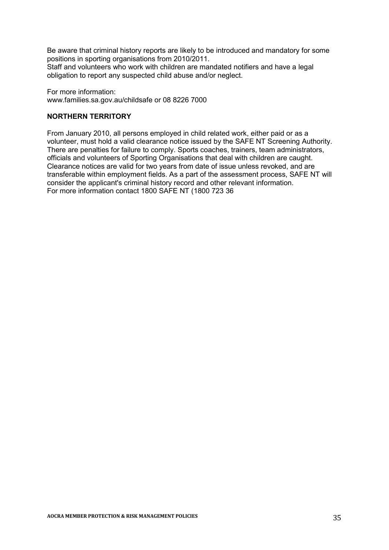Be aware that criminal history reports are likely to be introduced and mandatory for some positions in sporting organisations from 2010/2011.

Staff and volunteers who work with children are mandated notifiers and have a legal obligation to report any suspected child abuse and/or neglect.

For more information: www.families.sa.gov.au/childsafe or 08 8226 7000

#### **NORTHERN TERRITORY**

From January 2010, all persons employed in child related work, either paid or as a volunteer, must hold a valid clearance notice issued by the SAFE NT Screening Authority. There are penalties for failure to comply. Sports coaches, trainers, team administrators, officials and volunteers of Sporting Organisations that deal with children are caught. Clearance notices are valid for two years from date of issue unless revoked, and are transferable within employment fields. As a part of the assessment process, SAFE NT will consider the applicant's criminal history record and other relevant information. For more information contact 1800 SAFE NT (1800 723 36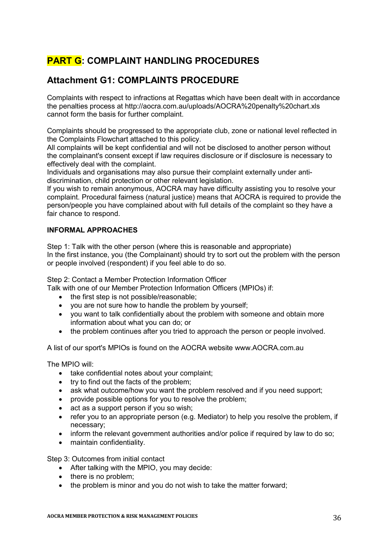## **PART G: COMPLAINT HANDLING PROCEDURES**

## **Attachment G1: COMPLAINTS PROCEDURE**

Complaints with respect to infractions at Regattas which have been dealt with in accordance the penalties process at http://aocra.com.au/uploads/AOCRA%20penalty%20chart.xls cannot form the basis for further complaint.

Complaints should be progressed to the appropriate club, zone or national level reflected in the Complaints Flowchart attached to this policy.

All complaints will be kept confidential and will not be disclosed to another person without the complainant's consent except if law requires disclosure or if disclosure is necessary to effectively deal with the complaint.

Individuals and organisations may also pursue their complaint externally under antidiscrimination, child protection or other relevant legislation.

If you wish to remain anonymous, AOCRA may have difficulty assisting you to resolve your complaint. Procedural fairness (natural justice) means that AOCRA is required to provide the person/people you have complained about with full details of the complaint so they have a fair chance to respond.

### **INFORMAL APPROACHES**

Step 1: Talk with the other person (where this is reasonable and appropriate) In the first instance, you (the Complainant) should try to sort out the problem with the person or people involved (respondent) if you feel able to do so.

Step 2: Contact a Member Protection Information Officer

Talk with one of our Member Protection Information Officers (MPIOs) if:

- the first step is not possible/reasonable;
- you are not sure how to handle the problem by yourself;
- you want to talk confidentially about the problem with someone and obtain more information about what you can do; or
- the problem continues after you tried to approach the person or people involved.

A list of our sport's MPIOs is found on the AOCRA website www.AOCRA.com.au

The MPIO will:

- take confidential notes about your complaint;
- try to find out the facts of the problem;
- ask what outcome/how you want the problem resolved and if you need support:
- provide possible options for you to resolve the problem;
- act as a support person if you so wish:
- refer you to an appropriate person (e.g. Mediator) to help you resolve the problem, if necessary;
- inform the relevant government authorities and/or police if required by law to do so;
- maintain confidentiality.

Step 3: Outcomes from initial contact

- After talking with the MPIO, you may decide:
- there is no problem:
- the problem is minor and you do not wish to take the matter forward;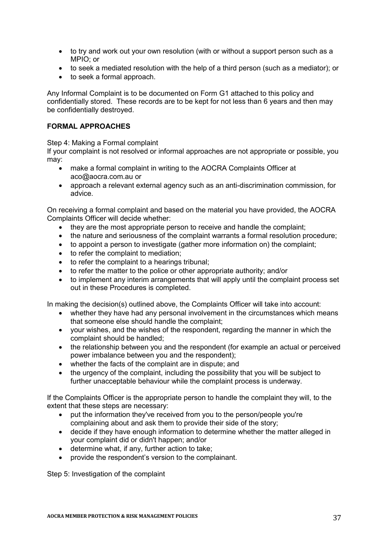- to try and work out your own resolution (with or without a support person such as a MPIO; or
- to seek a mediated resolution with the help of a third person (such as a mediator); or
- to seek a formal approach.

Any Informal Complaint is to be documented on Form G1 attached to this policy and confidentially stored. These records are to be kept for not less than 6 years and then may be confidentially destroyed.

#### **FORMAL APPROACHES**

Step 4: Making a Formal complaint

If your complaint is not resolved or informal approaches are not appropriate or possible, you may:

- make a formal complaint in writing to the AOCRA Complaints Officer at aco@aocra.com.au or
- approach a relevant external agency such as an anti-discrimination commission, for advice.

On receiving a formal complaint and based on the material you have provided, the AOCRA Complaints Officer will decide whether:

- they are the most appropriate person to receive and handle the complaint;
- the nature and seriousness of the complaint warrants a formal resolution procedure;
- to appoint a person to investigate (gather more information on) the complaint;
- to refer the complaint to mediation:
- to refer the complaint to a hearings tribunal;
- to refer the matter to the police or other appropriate authority; and/or
- to implement any interim arrangements that will apply until the complaint process set out in these Procedures is completed.

In making the decision(s) outlined above, the Complaints Officer will take into account:

- whether they have had any personal involvement in the circumstances which means that someone else should handle the complaint;
- your wishes, and the wishes of the respondent, regarding the manner in which the complaint should be handled;
- the relationship between you and the respondent (for example an actual or perceived power imbalance between you and the respondent);
- whether the facts of the complaint are in dispute; and
- the urgency of the complaint, including the possibility that you will be subject to further unacceptable behaviour while the complaint process is underway.

If the Complaints Officer is the appropriate person to handle the complaint they will, to the extent that these steps are necessary:

- put the information they've received from you to the person/people you're complaining about and ask them to provide their side of the story;
- decide if they have enough information to determine whether the matter alleged in your complaint did or didn't happen; and/or
- determine what, if any, further action to take;
- provide the respondent's version to the complainant.

Step 5: Investigation of the complaint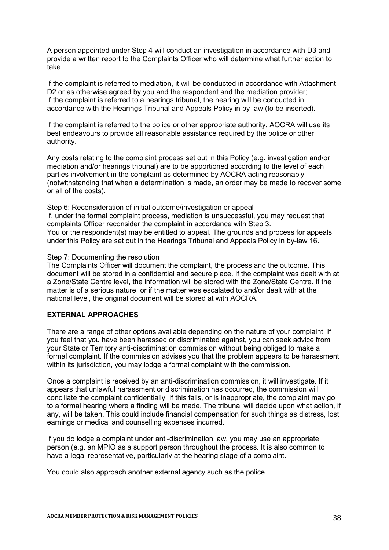A person appointed under Step 4 will conduct an investigation in accordance with D3 and provide a written report to the Complaints Officer who will determine what further action to take.

If the complaint is referred to mediation, it will be conducted in accordance with Attachment D2 or as otherwise agreed by you and the respondent and the mediation provider; If the complaint is referred to a hearings tribunal, the hearing will be conducted in accordance with the Hearings Tribunal and Appeals Policy in by-law (to be inserted).

If the complaint is referred to the police or other appropriate authority, AOCRA will use its best endeavours to provide all reasonable assistance required by the police or other authority.

Any costs relating to the complaint process set out in this Policy (e.g. investigation and/or mediation and/or hearings tribunal) are to be apportioned according to the level of each parties involvement in the complaint as determined by AOCRA acting reasonably (notwithstanding that when a determination is made, an order may be made to recover some or all of the costs).

Step 6: Reconsideration of initial outcome/investigation or appeal If, under the formal complaint process, mediation is unsuccessful, you may request that complaints Officer reconsider the complaint in accordance with Step 3. You or the respondent(s) may be entitled to appeal. The grounds and process for appeals under this Policy are set out in the Hearings Tribunal and Appeals Policy in by-law 16.

#### Step 7: Documenting the resolution

The Complaints Officer will document the complaint, the process and the outcome. This document will be stored in a confidential and secure place. If the complaint was dealt with at a Zone/State Centre level, the information will be stored with the Zone/State Centre. If the matter is of a serious nature, or if the matter was escalated to and/or dealt with at the national level, the original document will be stored at with AOCRA.

#### **EXTERNAL APPROACHES**

There are a range of other options available depending on the nature of your complaint. If you feel that you have been harassed or discriminated against, you can seek advice from your State or Territory anti-discrimination commission without being obliged to make a formal complaint. If the commission advises you that the problem appears to be harassment within its jurisdiction, you may lodge a formal complaint with the commission.

Once a complaint is received by an anti-discrimination commission, it will investigate. If it appears that unlawful harassment or discrimination has occurred, the commission will conciliate the complaint confidentially. If this fails, or is inappropriate, the complaint may go to a formal hearing where a finding will be made. The tribunal will decide upon what action, if any, will be taken. This could include financial compensation for such things as distress, lost earnings or medical and counselling expenses incurred.

If you do lodge a complaint under anti-discrimination law, you may use an appropriate person (e.g. an MPIO as a support person throughout the process. It is also common to have a legal representative, particularly at the hearing stage of a complaint.

You could also approach another external agency such as the police.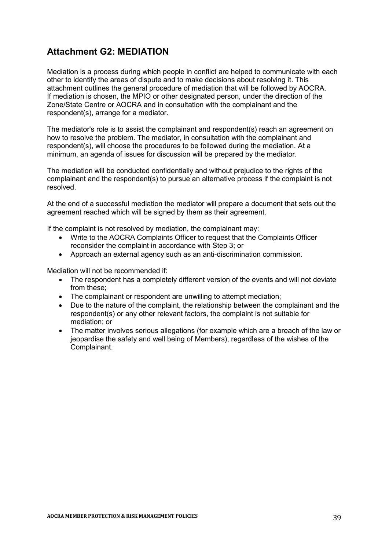## **Attachment G2: MEDIATION**

Mediation is a process during which people in conflict are helped to communicate with each other to identify the areas of dispute and to make decisions about resolving it. This attachment outlines the general procedure of mediation that will be followed by AOCRA. If mediation is chosen, the MPIO or other designated person, under the direction of the Zone/State Centre or AOCRA and in consultation with the complainant and the respondent(s), arrange for a mediator.

The mediator's role is to assist the complainant and respondent(s) reach an agreement on how to resolve the problem. The mediator, in consultation with the complainant and respondent(s), will choose the procedures to be followed during the mediation. At a minimum, an agenda of issues for discussion will be prepared by the mediator.

The mediation will be conducted confidentially and without prejudice to the rights of the complainant and the respondent(s) to pursue an alternative process if the complaint is not resolved.

At the end of a successful mediation the mediator will prepare a document that sets out the agreement reached which will be signed by them as their agreement.

If the complaint is not resolved by mediation, the complainant may:

- Write to the AOCRA Complaints Officer to request that the Complaints Officer reconsider the complaint in accordance with Step 3; or
- Approach an external agency such as an anti-discrimination commission.

Mediation will not be recommended if:

- The respondent has a completely different version of the events and will not deviate from these;
- The complainant or respondent are unwilling to attempt mediation;
- Due to the nature of the complaint, the relationship between the complainant and the respondent(s) or any other relevant factors, the complaint is not suitable for mediation; or
- The matter involves serious allegations (for example which are a breach of the law or jeopardise the safety and well being of Members), regardless of the wishes of the Complainant.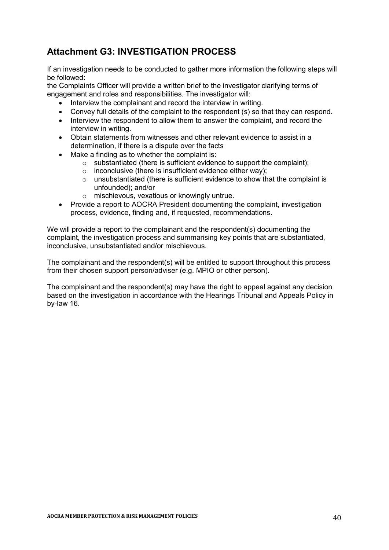## **Attachment G3: INVESTIGATION PROCESS**

If an investigation needs to be conducted to gather more information the following steps will be followed:

the Complaints Officer will provide a written brief to the investigator clarifying terms of engagement and roles and responsibilities. The investigator will:

- Interview the complainant and record the interview in writing.
- Convey full details of the complaint to the respondent (s) so that they can respond.
- Interview the respondent to allow them to answer the complaint, and record the interview in writing.
- Obtain statements from witnesses and other relevant evidence to assist in a determination, if there is a dispute over the facts
- Make a finding as to whether the complaint is:
	- $\circ$  substantiated (there is sufficient evidence to support the complaint):
	- $\circ$  inconclusive (there is insufficient evidence either way);
	- o unsubstantiated (there is sufficient evidence to show that the complaint is unfounded); and/or
	- o mischievous, vexatious or knowingly untrue.
- Provide a report to AOCRA President documenting the complaint, investigation process, evidence, finding and, if requested, recommendations.

We will provide a report to the complainant and the respondent(s) documenting the complaint, the investigation process and summarising key points that are substantiated, inconclusive, unsubstantiated and/or mischievous.

The complainant and the respondent(s) will be entitled to support throughout this process from their chosen support person/adviser (e.g. MPIO or other person).

The complainant and the respondent(s) may have the right to appeal against any decision based on the investigation in accordance with the Hearings Tribunal and Appeals Policy in by-law 16.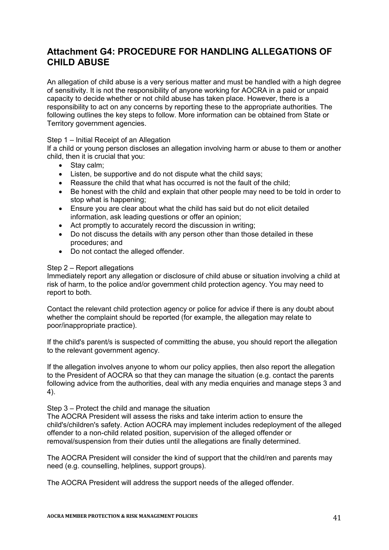## **Attachment G4: PROCEDURE FOR HANDLING ALLEGATIONS OF CHILD ABUSE**

An allegation of child abuse is a very serious matter and must be handled with a high degree of sensitivity. It is not the responsibility of anyone working for AOCRA in a paid or unpaid capacity to decide whether or not child abuse has taken place. However, there is a responsibility to act on any concerns by reporting these to the appropriate authorities. The following outlines the key steps to follow. More information can be obtained from State or Territory government agencies.

#### Step 1 – Initial Receipt of an Allegation

If a child or young person discloses an allegation involving harm or abuse to them or another child, then it is crucial that you:

- Stay calm;
- Listen, be supportive and do not dispute what the child says;
- Reassure the child that what has occurred is not the fault of the child;
- Be honest with the child and explain that other people may need to be told in order to stop what is happening;
- Ensure you are clear about what the child has said but do not elicit detailed information, ask leading questions or offer an opinion;
- Act promptly to accurately record the discussion in writing;
- Do not discuss the details with any person other than those detailed in these procedures; and
- Do not contact the alleged offender.

#### Step 2 – Report allegations

Immediately report any allegation or disclosure of child abuse or situation involving a child at risk of harm, to the police and/or government child protection agency. You may need to report to both.

Contact the relevant child protection agency or police for advice if there is any doubt about whether the complaint should be reported (for example, the allegation may relate to poor/inappropriate practice).

If the child's parent/s is suspected of committing the abuse, you should report the allegation to the relevant government agency.

If the allegation involves anyone to whom our policy applies, then also report the allegation to the President of AOCRA so that they can manage the situation (e.g. contact the parents following advice from the authorities, deal with any media enquiries and manage steps 3 and 4).

Step 3 – Protect the child and manage the situation

The AOCRA President will assess the risks and take interim action to ensure the child's/children's safety. Action AOCRA may implement includes redeployment of the alleged offender to a non-child related position, supervision of the alleged offender or removal/suspension from their duties until the allegations are finally determined.

The AOCRA President will consider the kind of support that the child/ren and parents may need (e.g. counselling, helplines, support groups).

The AOCRA President will address the support needs of the alleged offender.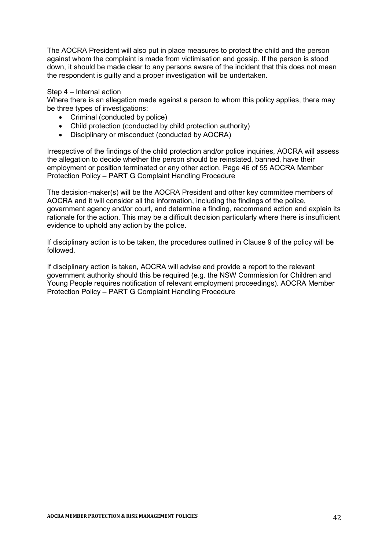The AOCRA President will also put in place measures to protect the child and the person against whom the complaint is made from victimisation and gossip. If the person is stood down, it should be made clear to any persons aware of the incident that this does not mean the respondent is guilty and a proper investigation will be undertaken.

#### Step 4 – Internal action

Where there is an allegation made against a person to whom this policy applies, there may be three types of investigations:

- Criminal (conducted by police)
- Child protection (conducted by child protection authority)
- Disciplinary or misconduct (conducted by AOCRA)

Irrespective of the findings of the child protection and/or police inquiries, AOCRA will assess the allegation to decide whether the person should be reinstated, banned, have their employment or position terminated or any other action. Page 46 of 55 AOCRA Member Protection Policy – PART G Complaint Handling Procedure

The decision-maker(s) will be the AOCRA President and other key committee members of AOCRA and it will consider all the information, including the findings of the police, government agency and/or court, and determine a finding, recommend action and explain its rationale for the action. This may be a difficult decision particularly where there is insufficient evidence to uphold any action by the police.

If disciplinary action is to be taken, the procedures outlined in Clause 9 of the policy will be followed.

If disciplinary action is taken, AOCRA will advise and provide a report to the relevant government authority should this be required (e.g. the NSW Commission for Children and Young People requires notification of relevant employment proceedings). AOCRA Member Protection Policy – PART G Complaint Handling Procedure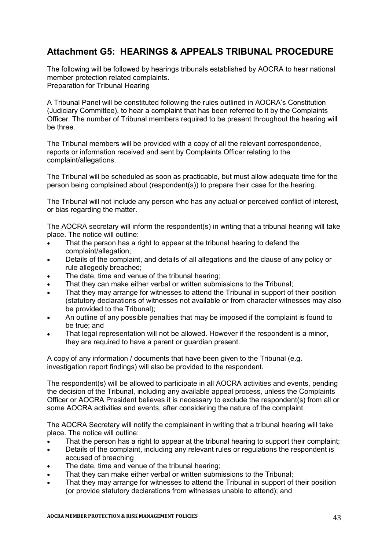## **Attachment G5: HEARINGS & APPEALS TRIBUNAL PROCEDURE**

The following will be followed by hearings tribunals established by AOCRA to hear national member protection related complaints. Preparation for Tribunal Hearing

A Tribunal Panel will be constituted following the rules outlined in AOCRA's Constitution (Judiciary Committee), to hear a complaint that has been referred to it by the Complaints Officer*.* The number of Tribunal members required to be present throughout the hearing will be three*.*

The Tribunal members will be provided with a copy of all the relevant correspondence, reports or information received and sent by Complaints Officer relating to the complaint/allegations.

The Tribunal will be scheduled as soon as practicable, but must allow adequate time for the person being complained about (respondent(s)) to prepare their case for the hearing.

The Tribunal will not include any person who has any actual or perceived conflict of interest, or bias regarding the matter.

The AOCRA secretary will inform the respondent(s) in writing that a tribunal hearing will take place. The notice will outline:

- That the person has a right to appear at the tribunal hearing to defend the complaint/allegation;
- Details of the complaint, and details of all allegations and the clause of any policy or rule allegedly breached;
- The date, time and venue of the tribunal hearing;
- That they can make either verbal or written submissions to the Tribunal;
- That they may arrange for witnesses to attend the Tribunal in support of their position (statutory declarations of witnesses not available or from character witnesses may also be provided to the Tribunal);
- An outline of any possible penalties that may be imposed if the complaint is found to be true; and
- That legal representation will not be allowed. However if the respondent is a minor, they are required to have a parent or guardian present.

A copy of any information / documents that have been given to the Tribunal (e.g. investigation report findings) will also be provided to the respondent.

The respondent(s) will be allowed to participate in all AOCRA activities and events, pending the decision of the Tribunal, including any available appeal process, unless the Complaints Officer or AOCRA President believes it is necessary to exclude the respondent(s) from all or some AOCRA activities and events, after considering the nature of the complaint.

The AOCRA Secretary will notify the complainant in writing that a tribunal hearing will take place. The notice will outline:

- That the person has a right to appear at the tribunal hearing to support their complaint;
- Details of the complaint, including any relevant rules or regulations the respondent is accused of breaching
- The date, time and venue of the tribunal hearing;
- That they can make either verbal or written submissions to the Tribunal;
- That they may arrange for witnesses to attend the Tribunal in support of their position (or provide statutory declarations from witnesses unable to attend); and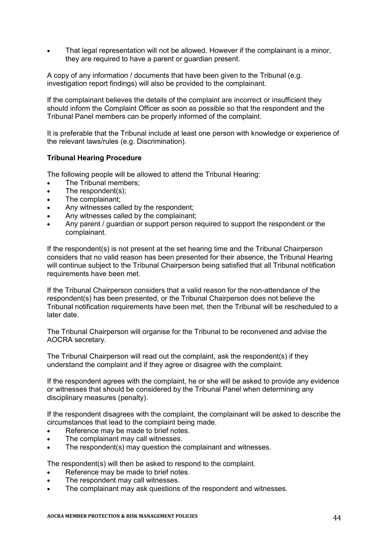That legal representation will not be allowed. However if the complainant is a minor, they are required to have a parent or guardian present.

A copy of any information / documents that have been given to the Tribunal (e.g. investigation report findings) will also be provided to the complainant.

If the complainant believes the details of the complaint are incorrect or insufficient they should inform the Complaint Officer as soon as possible so that the respondent and the Tribunal Panel members can be properly informed of the complaint.

It is preferable that the Tribunal include at least one person with knowledge or experience of the relevant laws/rules (e.g. Discrimination).

#### **Tribunal Hearing Procedure**

The following people will be allowed to attend the Tribunal Hearing:

- The Tribunal members;
- The respondent(s);
- The complainant;
- Any witnesses called by the respondent;
- Any witnesses called by the complainant;
- Any parent / guardian or support person required to support the respondent or the complainant.

If the respondent(s) is not present at the set hearing time and the Tribunal Chairperson considers that no valid reason has been presented for their absence, the Tribunal Hearing will continue subject to the Tribunal Chairperson being satisfied that all Tribunal notification requirements have been met.

If the Tribunal Chairperson considers that a valid reason for the non-attendance of the respondent(s) has been presented, or the Tribunal Chairperson does not believe the Tribunal notification requirements have been met, then the Tribunal will be rescheduled to a later date.

The Tribunal Chairperson will organise for the Tribunal to be reconvened and advise the AOCRA secretary.

The Tribunal Chairperson will read out the complaint, ask the respondent(s) if they understand the complaint and if they agree or disagree with the complaint.

If the respondent agrees with the complaint, he or she will be asked to provide any evidence or witnesses that should be considered by the Tribunal Panel when determining any disciplinary measures (penalty).

If the respondent disagrees with the complaint, the complainant will be asked to describe the circumstances that lead to the complaint being made.

- Reference may be made to brief notes.
- The complainant may call witnesses.
- The respondent(s) may question the complainant and witnesses.

The respondent(s) will then be asked to respond to the complaint.

- Reference may be made to brief notes.
- The respondent may call witnesses.
- The complainant may ask questions of the respondent and witnesses.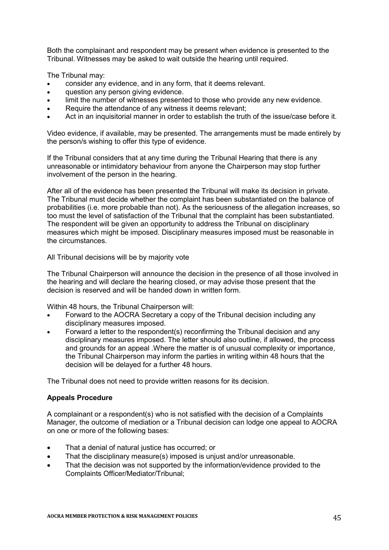Both the complainant and respondent may be present when evidence is presented to the Tribunal. Witnesses may be asked to wait outside the hearing until required.

The Tribunal may:

- consider any evidence, and in any form, that it deems relevant.
- **•** question any person giving evidence.
- limit the number of witnesses presented to those who provide any new evidence.
- Require the attendance of any witness it deems relevant;
- Act in an inquisitorial manner in order to establish the truth of the issue/case before it.

Video evidence, if available, may be presented. The arrangements must be made entirely by the person/s wishing to offer this type of evidence.

If the Tribunal considers that at any time during the Tribunal Hearing that there is any unreasonable or intimidatory behaviour from anyone the Chairperson may stop further involvement of the person in the hearing.

After all of the evidence has been presented the Tribunal will make its decision in private. The Tribunal must decide whether the complaint has been substantiated on the balance of probabilities (i.e. more probable than not). As the seriousness of the allegation increases, so too must the level of satisfaction of the Tribunal that the complaint has been substantiated. The respondent will be given an opportunity to address the Tribunal on disciplinary measures which might be imposed. Disciplinary measures imposed must be reasonable in the circumstances.

All Tribunal decisions will be by majority vote

The Tribunal Chairperson will announce the decision in the presence of all those involved in the hearing and will declare the hearing closed, or may advise those present that the decision is reserved and will be handed down in written form.

Within 48 hours, the Tribunal Chairperson will:

- Forward to the AOCRA Secretary a copy of the Tribunal decision including any disciplinary measures imposed.
- Forward a letter to the respondent(s) reconfirming the Tribunal decision and any disciplinary measures imposed. The letter should also outline, if allowed, the process and grounds for an appeal .Where the matter is of unusual complexity or importance, the Tribunal Chairperson may inform the parties in writing within 48 hours that the decision will be delayed for a further 48 hours.

The Tribunal does not need to provide written reasons for its decision.

#### **Appeals Procedure**

A complainant or a respondent(s) who is not satisfied with the decision of a Complaints Manager, the outcome of mediation or a Tribunal decision can lodge one appeal to AOCRA on one or more of the following bases:

- That a denial of natural justice has occurred; or
- That the disciplinary measure(s) imposed is unjust and/or unreasonable.
- That the decision was not supported by the information/evidence provided to the Complaints Officer/Mediator/Tribunal;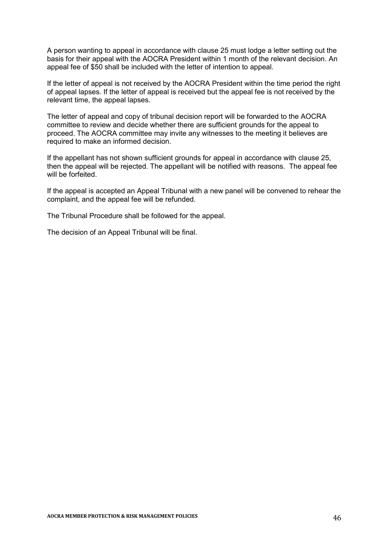A person wanting to appeal in accordance with clause 25 must lodge a letter setting out the basis for their appeal with the AOCRA President within 1 month of the relevant decision. An appeal fee of \$50 shall be included with the letter of intention to appeal.

If the letter of appeal is not received by the AOCRA President within the time period the right of appeal lapses. If the letter of appeal is received but the appeal fee is not received by the relevant time, the appeal lapses.

The letter of appeal and copy of tribunal decision report will be forwarded to the AOCRA committee to review and decide whether there are sufficient grounds for the appeal to proceed. The AOCRA committee may invite any witnesses to the meeting it believes are required to make an informed decision.

If the appellant has not shown sufficient grounds for appeal in accordance with clause 25, then the appeal will be rejected. The appellant will be notified with reasons. The appeal fee will be forfeited.

If the appeal is accepted an Appeal Tribunal with a new panel will be convened to rehear the complaint, and the appeal fee will be refunded.

The Tribunal Procedure shall be followed for the appeal.

The decision of an Appeal Tribunal will be final.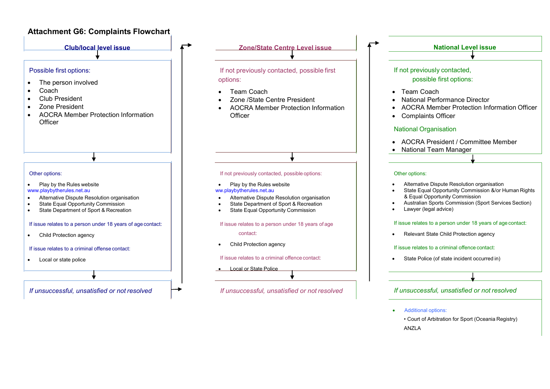#### **Attachment G6: Complaints Flowchart**



- Additional options:
	- Court of Arbitration for Sport (Oceania Registry) ANZLA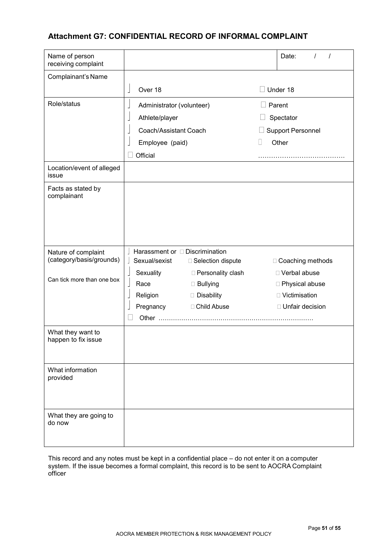### **Attachment G7: CONFIDENTIAL RECORD OF INFORMAL COMPLAINT**

| Name of person<br>receiving complaint    |                                                        | Date:                              |
|------------------------------------------|--------------------------------------------------------|------------------------------------|
| Complainant's Name                       |                                                        |                                    |
|                                          | Over 18                                                | Under 18                           |
| Role/status                              | Administrator (volunteer)                              | Parent<br>$\overline{\phantom{a}}$ |
|                                          | Athlete/player                                         | Spectator                          |
|                                          | Coach/Assistant Coach                                  | <b>Support Personnel</b>           |
|                                          | Employee (paid)                                        | Other<br>H                         |
|                                          | Official                                               |                                    |
| Location/event of alleged<br>issue       |                                                        |                                    |
| Facts as stated by<br>complainant        |                                                        |                                    |
|                                          |                                                        |                                    |
| Nature of complaint                      | Harassment or <b>Discrimination</b>                    |                                    |
| (category/basis/grounds)                 | Sexual/sexist<br>□ Selection dispute                   | □ Coaching methods                 |
| Can tick more than one box               | Sexuality<br>□ Personality clash<br>Race<br>□ Bullying | □ Verbal abuse<br>□ Physical abuse |
|                                          | Religion<br>Disability                                 | □ Victimisation                    |
|                                          | □ Child Abuse<br>Pregnancy                             | □ Unfair decision                  |
|                                          |                                                        |                                    |
| What they want to<br>happen to fix issue |                                                        |                                    |
| What information<br>provided             |                                                        |                                    |
| What they are going to<br>do now         |                                                        |                                    |

This record and any notes must be kept in a confidential place – do not enter it on a computer system. If the issue becomes a formal complaint, this record is to be sent to AOCRA Complaint officer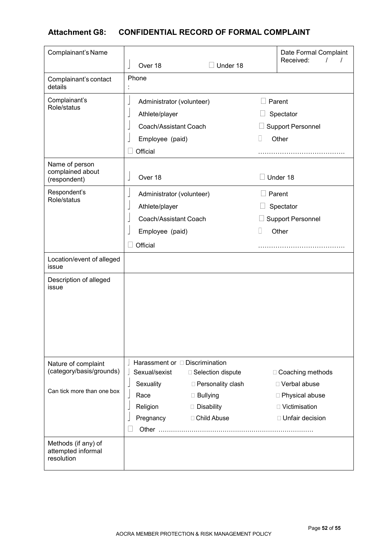## **Attachment G8: CONFIDENTIAL RECORD OF FORMAL COMPLAINT**

| Complainant's Name                                      |                                                      |                                            | Date Formal Complaint<br>Received:   |
|---------------------------------------------------------|------------------------------------------------------|--------------------------------------------|--------------------------------------|
|                                                         | Over 18                                              | $\Box$ Under 18                            |                                      |
| Complainant's contact<br>details                        | Phone                                                |                                            |                                      |
| Complainant's                                           | Administrator (volunteer)                            |                                            | Parent                               |
| Role/status                                             | Athlete/player                                       |                                            | Spectator                            |
|                                                         | Coach/Assistant Coach                                |                                            | <b>Support Personnel</b>             |
|                                                         | Employee (paid)                                      | H                                          | Other                                |
|                                                         | Official                                             |                                            | .                                    |
| Name of person<br>complained about<br>(respondent)      | Over 18                                              |                                            | Under 18                             |
| Respondent's                                            | Administrator (volunteer)                            |                                            | Parent                               |
| Role/status                                             | Athlete/player                                       |                                            | Spectator                            |
|                                                         | Coach/Assistant Coach                                |                                            | <b>Support Personnel</b>             |
|                                                         | Employee (paid)                                      | П                                          | Other                                |
|                                                         | Official                                             |                                            |                                      |
| Location/event of alleged<br>issue                      |                                                      |                                            |                                      |
| Description of alleged<br>issue                         |                                                      |                                            |                                      |
| Nature of complaint<br>(category/basis/grounds)         | Harassment or <b>Discrimination</b><br>Sexual/sexist |                                            |                                      |
|                                                         | Sexuality                                            | □ Selection dispute<br>□ Personality clash | □ Coaching methods<br>□ Verbal abuse |
| Can tick more than one box                              | Race                                                 | □ Bullying                                 | □ Physical abuse                     |
|                                                         | Religion                                             | Disability                                 | □ Victimisation                      |
|                                                         | Pregnancy                                            | □ Child Abuse                              | □ Unfair decision                    |
|                                                         |                                                      |                                            |                                      |
| Methods (if any) of<br>attempted informal<br>resolution |                                                      |                                            |                                      |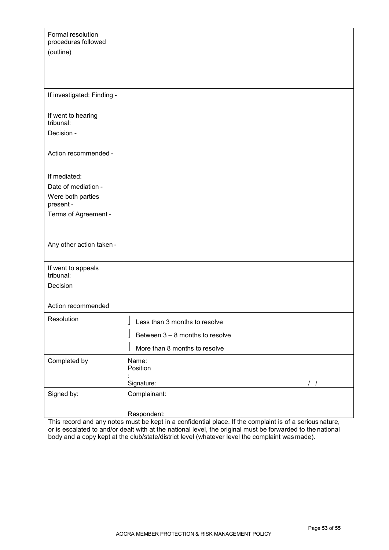| Formal resolution<br>procedures followed<br>(outline) |                                                 |
|-------------------------------------------------------|-------------------------------------------------|
|                                                       |                                                 |
|                                                       |                                                 |
|                                                       |                                                 |
| If investigated: Finding -                            |                                                 |
| If went to hearing<br>tribunal:                       |                                                 |
| Decision -                                            |                                                 |
|                                                       |                                                 |
| Action recommended -                                  |                                                 |
| If mediated:                                          |                                                 |
| Date of mediation -                                   |                                                 |
| Were both parties<br>present -                        |                                                 |
| Terms of Agreement -                                  |                                                 |
|                                                       |                                                 |
|                                                       |                                                 |
| Any other action taken -                              |                                                 |
| If went to appeals                                    |                                                 |
| tribunal:                                             |                                                 |
| Decision                                              |                                                 |
| Action recommended                                    |                                                 |
| Resolution                                            | $\overline{1}$<br>Less than 3 months to resolve |
|                                                       | Between $3 - 8$ months to resolve               |
|                                                       | More than 8 months to resolve                   |
| Completed by                                          | Name:<br>Position                               |
|                                                       | Signature:<br>$\left  \right $                  |
| Signed by:                                            | Complainant:                                    |
|                                                       | Respondent:                                     |

This record and any notes must be kept in a confidential place. If the complaint is of a serious nature, or is escalated to and/or dealt with at the national level, the original must be forwarded to the national body and a copy kept at the club/state/district level (whatever level the complaint was made).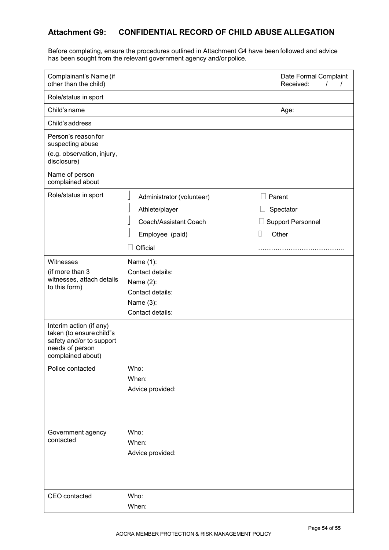## **Attachment G9: CONFIDENTIAL RECORD OF CHILD ABUSE ALLEGATION**

Before completing, ensure the procedures outlined in Attachment G4 have been followed and advice has been sought from the relevant government agency and/or police.

| Complainant's Name (if<br>other than the child)                                                                         |                                                       | Date Formal Complaint<br>Received:<br>$\prime$ |
|-------------------------------------------------------------------------------------------------------------------------|-------------------------------------------------------|------------------------------------------------|
| Role/status in sport                                                                                                    |                                                       |                                                |
| Child's name                                                                                                            |                                                       | Age:                                           |
| Child's address                                                                                                         |                                                       |                                                |
| Person's reason for<br>suspecting abuse<br>(e.g. observation, injury,<br>disclosure)                                    |                                                       |                                                |
| Name of person<br>complained about                                                                                      |                                                       |                                                |
| Role/status in sport                                                                                                    | $\overline{\phantom{a}}$<br>Administrator (volunteer) | Parent                                         |
|                                                                                                                         | Athlete/player<br>┙                                   | Spectator                                      |
|                                                                                                                         | Coach/Assistant Coach                                 | <b>Support Personnel</b>                       |
|                                                                                                                         | Employee (paid)<br>$\mathbb{R}^n$                     | Other                                          |
|                                                                                                                         | Official                                              |                                                |
| Witnesses                                                                                                               | Name (1):                                             |                                                |
| (if more than 3                                                                                                         | Contact details:                                      |                                                |
| witnesses, attach details<br>to this form)                                                                              | Name $(2)$ :                                          |                                                |
|                                                                                                                         | Contact details:                                      |                                                |
|                                                                                                                         | Name (3):                                             |                                                |
|                                                                                                                         | Contact details:                                      |                                                |
| Interim action (if any)<br>taken (to ensure child"s<br>safety and/or to support<br>needs of person<br>complained about) |                                                       |                                                |
| Police contacted                                                                                                        | Who:                                                  |                                                |
|                                                                                                                         | When:                                                 |                                                |
|                                                                                                                         | Advice provided:                                      |                                                |
| Government agency                                                                                                       | Who:                                                  |                                                |
| contacted                                                                                                               | When:                                                 |                                                |
|                                                                                                                         | Advice provided:                                      |                                                |
|                                                                                                                         |                                                       |                                                |
| CEO contacted                                                                                                           | Who:                                                  |                                                |
|                                                                                                                         | When:                                                 |                                                |